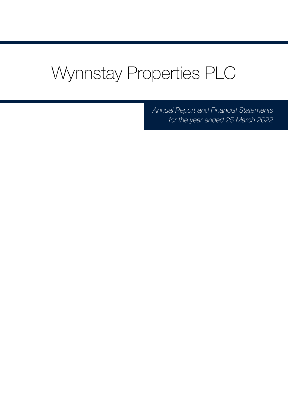# Wynnstay Properties PLC

*Annual Report and Financial Statements for the year ended 25 March 2022*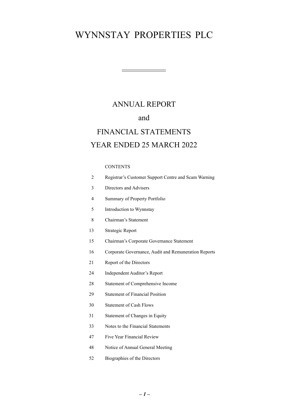## ANNUAL REPORT FINANCIAL STATEMENTS YEAR ENDED 25 MARCH 2022 and

#### CONTENTS

| $\overline{c}$ | Registrar's Customer Support Centre and Scam Warning |
|----------------|------------------------------------------------------|
| 3              | Directors and Advisers                               |
| 4              | Summary of Property Portfolio                        |
| 5              | Introduction to Wynnstay                             |
| 8              | Chairman's Statement                                 |
| 13             | <b>Strategic Report</b>                              |
| 15             | Chairman's Corporate Governance Statement            |
| 16             | Corporate Governance, Audit and Remuneration Reports |
| 21             | Report of the Directors                              |
| 24             | <b>Independent Auditor's Report</b>                  |
| 28             | Statement of Comprehensive Income                    |
| 29             | <b>Statement of Financial Position</b>               |
| 30             | <b>Statement of Cash Flows</b>                       |
| 31             | Statement of Changes in Equity                       |
| 33             | Notes to the Financial Statements                    |
| 47             | Five Year Financial Review                           |
| 48             | Notice of Annual General Meeting                     |
| 52             | Biographies of the Directors                         |
|                |                                                      |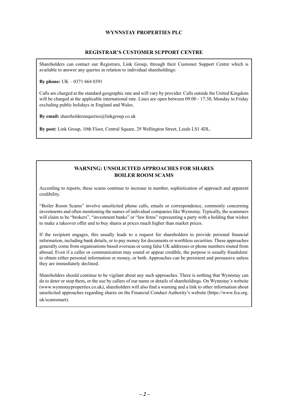## **REGISTRAR'S CUSTOMER SUPPORT CENTRE**

<span id="page-2-0"></span>Shareholders can contact our Registrars, Link Group, through their Customer Support Centre which is available to answer any queries in relation to individual shareholdings:

**By phone:** UK – 0371 664 0391

Calls are charged at the standard geographic rate and will vary by provider. Calls outside the United Kingdom will be charged at the applicable international rate. Lines are open between 09:00 - 17:30. Monday to Friday excluding public holidays in England and Wales.

**By email:** shareholderenquiries@linkgroup.co.uk

**By post:** Link Group, 10th Floor, Central Square, 29 Wellington Street, Leeds LS1 4DL.

## **WARNING: UNSOLICITED APPROACHES FOR SHARES BOILER ROOM SCAMS**

According to reports, these scams continue to increase in number, sophistication of approach and apparent credibility.

"Boiler Room Scams" involve unsolicited phone calls, emails or correspondence, commonly concerning investments and often mentioning the names of individual companies like Wynnstay. Typically, the scammers will claim to be "brokers", "investment banks" or "law firms" representing a party with a holding that wishes to make a takeover offer and to buy shares at prices much higher than market prices.

If the recipient engages, this usually leads to a request for shareholders to provide personal financial information, including bank details, or to pay money for documents or worthless securities. These approaches generally come from organisations based overseas or using false UK addresses or phone numbers routed from abroad. Even if a caller or communication may sound or appear credible, the purpose is usually fraudulent: to obtain either personal information or money, or both. Approaches can be persistent and persuasive unless they are immediately declined.

Shareholders should continue to be vigilant about any such approaches. There is nothing that Wynnstay can do to deter or stop them, or the use by callers of our name or details of shareholdings. On Wynnstay's website (www.wynnstayproperties.co.uk), shareholders will also find a warning and a link to other information about unsolicited approaches regarding shares on the Financial Conduct Authority's website (https://www.fca.org. uk/scamsmart).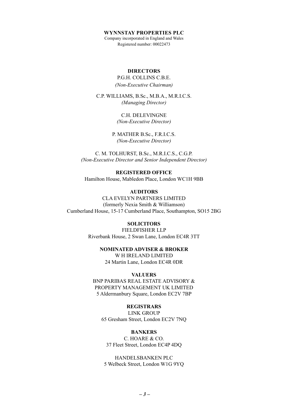<span id="page-3-0"></span>Company incorporated in England and Wales Registered number: 00022473

## **DIRECTORS**

## P.G.H. COLLINS C.B.E. *(Non-Executive Chairman)*

C.P. WILLIAMS, B.Sc., M.B.A., M.R.I.C.S. *(Managing Director)*

> C.H. DELEVINGNE *(Non-Executive Director)*

P. MATHER B.Sc., F.R.I.C.S. *(Non-Executive Director)*

C. M. TOLHURST, B.Sc., M.R.I.C.S., C.G.P. *(Non-Executive Director and Senior Independent Director)*

**REGISTERED OFFICE** Hamilton House, Mabledon Place, London WC1H 9BB

#### **AUDITORS**

CLA EVELYN PARTNERS LIMITED (formerly Nexia Smith & Williamson) Cumberland House, 15-17 Cumberland Place, Southampton, SO15 2BG

#### **SOLICITORS**

FIELDFISHER LLP Riverbank House, 2 Swan Lane, London EC4R 3TT

**NOMINATED ADVISER & BROKER**

W H IRELAND LIMITED 24 Martin Lane, London EC4R 0DR

#### **VALUERS**

BNP PARIBAS REAL ESTATE ADVISORY & PROPERTY MANAGEMENT UK LIMITED 5 Aldermanbury Square, London EC2V 7BP

#### **REGISTRARS**

LINK GROUP 65 Gresham Street, London EC2V 7NQ

## **BANKERS**

C. HOARE & CO. 37 Fleet Street, London EC4P 4DQ

HANDELSBANKEN PLC 5 Welbeck Street, London W1G 9YQ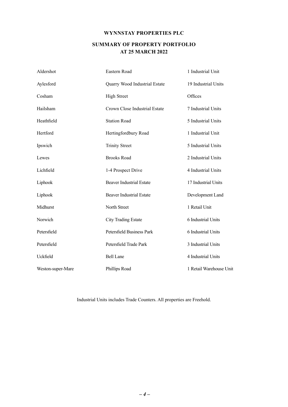## **SUMMARY OF PROPERTY PORTFOLIO AT 25 MARCH 2022**

<span id="page-4-0"></span>

| Aldershot         | Eastern Road                     | 1 Industrial Unit       |
|-------------------|----------------------------------|-------------------------|
| Aylesford         | Quarry Wood Industrial Estate    | 19 Industrial Units     |
| Cosham            | <b>High Street</b>               | Offices                 |
| Hailsham          | Crown Close Industrial Estate    | 7 Industrial Units      |
| Heathfield        | <b>Station Road</b>              | 5 Industrial Units      |
| Hertford          | Hertingfordbury Road             | 1 Industrial Unit       |
| Ipswich           | <b>Trinity Street</b>            | 5 Industrial Units      |
| Lewes             | <b>Brooks Road</b>               | 2 Industrial Units      |
| Lichfield         | 1-4 Prospect Drive               | 4 Industrial Units      |
| Liphook           | <b>Beaver Industrial Estate</b>  | 17 Industrial Units     |
| Liphook           | <b>Beaver Industrial Estate</b>  | Development Land        |
| Midhurst          | North Street                     | 1 Retail Unit           |
| Norwich           | <b>City Trading Estate</b>       | 6 Industrial Units      |
| Petersfield       | <b>Petersfield Business Park</b> | 6 Industrial Units      |
| Petersfield       | Petersfield Trade Park           | 3 Industrial Units      |
| Uckfield          | <b>Bell Lane</b>                 | 4 Industrial Units      |
| Weston-super-Mare | Phillips Road                    | 1 Retail Warehouse Unit |

Industrial Units includes Trade Counters. All properties are Freehold.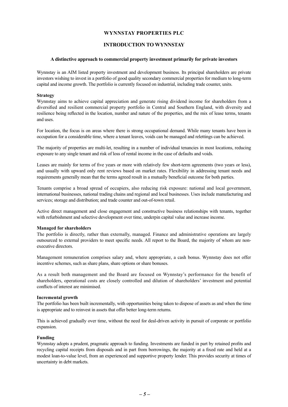## **INTRODUCTION TO WYNNSTAY**

#### <span id="page-5-0"></span>**A distinctive approach to commercial property investment primarily for private investors**

Wynnstay is an AIM listed property investment and development business. Its principal shareholders are private investors wishing to invest in a portfolio of good quality secondary commercial properties for medium to long-term capital and income growth. The portfolio is currently focused on industrial, including trade counter, units.

#### **Strategy**

Wynnstay aims to achieve capital appreciation and generate rising dividend income for shareholders from a diversified and resilient commercial property portfolio in Central and Southern England, with diversity and resilience being reflected in the location, number and nature of the properties, and the mix of lease terms, tenants and uses.

For location, the focus is on areas where there is strong occupational demand. While many tenants have been in occupation for a considerable time, where a tenant leaves, voids can be managed and relettings can be achieved.

The majority of properties are multi-let, resulting in a number of individual tenancies in most locations, reducing exposure to any single tenant and risk of loss of rental income in the case of defaults and voids.

Leases are mainly for terms of five years or more with relatively few short-term agreements (two years or less), and usually with upward only rent reviews based on market rates. Flexibility in addressing tenant needs and requirements generally mean that the terms agreed result in a mutually beneficial outcome for both parties.

Tenants comprise a broad spread of occupiers, also reducing risk exposure: national and local government, international businesses, national trading chains and regional and local businesses. Uses include manufacturing and services; storage and distribution; and trade counter and out-of-town retail.

Active direct management and close engagement and constructive business relationships with tenants, together with refurbishment and selective development over time, underpin capital value and increase income.

#### **Managed for shareholders**

The portfolio is directly, rather than externally, managed. Finance and administrative operations are largely outsourced to external providers to meet specific needs. All report to the Board, the majority of whom are nonexecutive directors.

Management remuneration comprises salary and, where appropriate, a cash bonus. Wynnstay does not offer incentive schemes, such as share plans, share options or share bonuses.

As a result both management and the Board are focused on Wynnstay's performance for the benefit of shareholders, operational costs are closely controlled and dilution of shareholders' investment and potential conflicts of interest are minimised.

#### **Incremental growth**

The portfolio has been built incrementally, with opportunities being taken to dispose of assets as and when the time is appropriate and to reinvest in assets that offer better long-term returns.

This is achieved gradually over time, without the need for deal-driven activity in pursuit of corporate or portfolio expansion.

#### **Funding**

Wynnstay adopts a prudent, pragmatic approach to funding. Investments are funded in part by retained profits and recycling capital receipts from disposals and in part from borrowings, the majority at a fixed rate and held at a modest loan-to-value level, from an experienced and supportive property lender. This provides security at times of uncertainty in debt markets.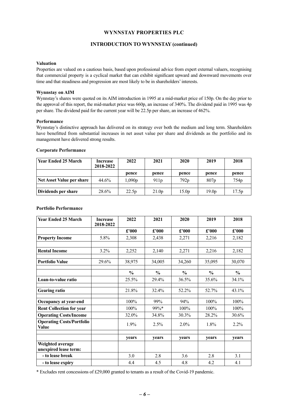#### **INTRODUCTION TO WYNNSTAY (continued)**

#### **Valuation**

Properties are valued on a cautious basis, based upon professional advice from expert external valuers, recognising that commercial property is a cyclical market that can exhibit significant upward and downward movements over time and that steadiness and progression are most likely to be in shareholders' interests.

#### **Wynnstay on AIM**

Wynnstay's shares were quoted on its AIM introduction in 1995 at a mid-market price of 150p. On the day prior to the approval of this report, the mid-market price was 660p, an increase of 340%. The dividend paid in 1995 was 4p per share. The dividend paid for the current year will be 22.5p per share, an increase of 462%.

#### **Performance**

Wynnstay's distinctive approach has delivered on its strategy over both the medium and long term. Shareholders have benefitted from substantial increases in net asset value per share and dividends as the portfolio and its management have delivered strong results.

#### **Corporate Performance**

| <b>Year Ended 25 March</b>       | Increase<br>2018-2022 | 2022              | 2021              | 2020             | 2019              | 2018             |
|----------------------------------|-----------------------|-------------------|-------------------|------------------|-------------------|------------------|
|                                  |                       | pence             | pence             | pence            | pence             | pence            |
| <b>Net Asset Value per share</b> | 44.6%                 | 1,090p            | 911 <sub>p</sub>  | 792 <sub>p</sub> | 807p              | 754 <sub>p</sub> |
|                                  |                       |                   |                   |                  |                   |                  |
| Dividends per share              | 28.6%                 | 22.5 <sub>p</sub> | 21.0 <sub>p</sub> | 15.0p            | 19.0 <sub>p</sub> | 17.5p            |

#### **Portfolio Performance**

| <b>Year Ended 25 March</b>                | <b>Increase</b><br>2018-2022 | 2022          | 2021           | 2020          | 2019          | 2018                        |
|-------------------------------------------|------------------------------|---------------|----------------|---------------|---------------|-----------------------------|
|                                           |                              | £'000         | $\pounds$ '000 | £'000         | £'000         | $\pmb{\pounds}^{\prime}000$ |
| <b>Property Income</b>                    | 5.8%                         | 2,308         | 2,438          | 2,271         | 2,216         | 2,182                       |
|                                           |                              |               |                |               |               |                             |
| <b>Rental Income</b>                      | 3.2%                         | 2,252         | 2,140          | 2,271         | 2,216         | 2,182                       |
| <b>Portfolio Value</b>                    | 29.6%                        | 38,975        | 34,005         | 34,260        | 35,095        | 30,070                      |
|                                           |                              | $\frac{6}{6}$ | $\frac{0}{0}$  | $\frac{0}{0}$ | $\frac{0}{0}$ | $\frac{0}{0}$               |
| Loan-to-value ratio                       |                              | 25.5%         | 29.4%          | 36.5%         | 35.6%         | 34.1%                       |
| <b>Gearing ratio</b>                      |                              | 21.8%         | 32.4%          | 52.2%         | 52.7%         | 43.1%                       |
| Occupancy at year-end                     |                              | 100%          | 99%            | 94%           | 100%          | 100%                        |
| <b>Rent Collection for year</b>           |                              | 100%          | $99\%*$        | 100%          | $100\%$       | 100%                        |
| <b>Operating Costs/Income</b>             |                              | 32.0%         | 34.8%          | 30.3%         | 28.2%         | 30.6%                       |
| <b>Operating Costs/Portfolio</b><br>Value |                              | 1.9%          | 2.5%           | 2.0%          | 1.8%          | 2.2%                        |
|                                           |                              |               |                |               |               |                             |
|                                           |                              | vears         | years          | years         | years         | years                       |
| Weighted average<br>unexpired lease term: |                              |               |                |               |               |                             |
| - to lease break                          |                              | 3.0           | 2.8            | 3.6           | 2.8           | 3.1                         |
| - to lease expiry                         |                              | 4.4           | 4.5            | 4.8           | 4.2           | 4.1                         |

\* Excludes rent concessions of £29,000 granted to tenants as a result of the Covid-19 pandemic.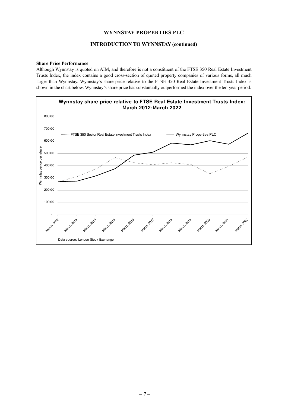#### **INTRODUCTION TO WYNNSTAY (continued)**

#### **Share Price Performance**

Although Wynnstay is quoted on AIM, and therefore is not a constituent of the FTSE 350 Real Estate Investment Trusts Index, the index contains a good cross-section of quoted property companies of various forms, all much larger than Wynnstay. Wynnstay's share price relative to the FTSE 350 Real Estate Investment Trusts Index is shown in the chart below. Wynnstay's share price has substantially outperformed the index over the ten-year period.

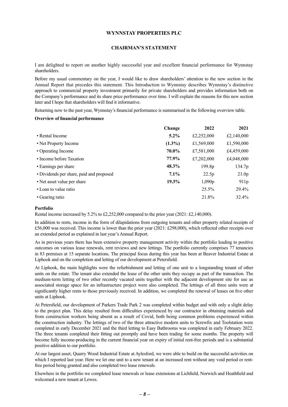#### **CHAIRMAN'S STATEMENT**

<span id="page-8-0"></span>I am delighted to report on another highly successful year and excellent financial performance for Wynnstay shareholders.

Before my usual commentary on the year, I would like to draw shareholders' attention to the new section in the Annual Report that precedes this statement. This Introduction to Wynnstay describes Wynnstay's distinctive approach to commercial property investment primarily for private shareholders and provides information both on the Company's performance and its share price performance over time. I will explain the reasons for this new section later and I hope that shareholders will find it informative.

Returning now to the past year, Wynnstay's financial performance is summarised in the following overview table.

#### **Overview of financial performance**

|                                          | Change    | 2022               | 2021              |
|------------------------------------------|-----------|--------------------|-------------------|
| • Rental Income                          | $5.2\%$   | £2,252,000         | £2,140,000        |
| • Net Property Income                    | $(1.3\%)$ | £1,569,000         | £1,590,000        |
| • Operating Income                       | 70.0%     | £7,581,000         | £4,459,000        |
| • Income before Taxation                 | 77.9%     | £7,202,000         | £4,048,000        |
| • Earnings per share                     | $48.3\%$  | 199.8p             | 134.7p            |
| • Dividends per share, paid and proposed | $7.1\%$   | 22.5p              | 21.0 <sub>p</sub> |
| • Net asset value per share              | $19.3\%$  | 1,090 <sub>p</sub> | 911 <sub>p</sub>  |
| • Loan to value ratio                    |           | 25.5%              | 29.4%             |
| • Gearing ratio                          |           | 21.8%              | 32.4%             |

#### **Portfolio**

Rental income increased by 5.2% to £2,252,000 compared to the prior year (2021: £2,140,000).

In addition to rents, income in the form of dilapidations from outgoing tenants and other property related receipts of £56,000 was received. This income is lower than the prior year (2021: £298,000), which reflected other receipts over an extended period as explained in last year's Annual Report.

As in previous years there has been extensive property management activity within the portfolio leading to positive outcomes on various lease renewals, rent reviews and new lettings. The portfolio currently comprises 77 tenancies in 83 premises at 15 separate locations. The principal focus during this year has been at Beaver Industrial Estate at Liphook and on the completion and letting of our development at Petersfield.

At Liphook, the main highlights were the refurbishment and letting of one unit to a longstanding tenant of other units on the estate. The tenant also extended the lease of the other units they occupy as part of the transaction. The medium-term letting of two other recently vacated units together with the adjacent development site for use as associated storage space for an infrastructure project were also completed. The lettings of all three units were at significantly higher rents to those previously received. In addition, we completed the renewal of leases on five other units at Liphook.

At Petersfield, our development of Parkers Trade Park 2 was completed within budget and with only a slight delay to the project plan. This delay resulted from difficulties experienced by our contractor in obtaining materials and from construction workers being absent as a result of Covid, both being common problems experienced within the construction industry. The lettings of two of the three attractive modern units to Screwfix and Toolstation were completed in early December 2021 and the third letting to Easy Bathrooms was completed in early February 2022. The three tenants completed their fitting out promptly and have been trading for some months. The property will become fully income-producing in the current financial year on expiry of initial rent-free periods and is a substantial positive addition to our portfolio.

At our largest asset, Quarry Wood Industrial Estate at Aylesford, we were able to build on the successful activities on which I reported last year. Here we let one unit to a new tenant at an increased rent without any void period or rentfree period being granted and also completed two lease renewals.

Elsewhere in the portfolio we completed lease renewals or lease extensions at Lichfield, Norwich and Heathfield and welcomed a new tenant at Lewes.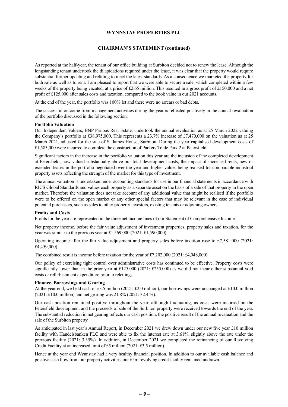#### **CHAIRMAN'S STATEMENT (continued)**

As reported at the half-year, the tenant of our office building at Surbiton decided not to renew the lease. Although the longstanding tenant undertook the dilapidations required under the lease, it was clear that the property would require substantial further updating and refitting to meet the latest standards. As a consequence we marketed the property for both sale as well as to rent. I am pleased to report that we were able to secure a sale, which completed within a few weeks of the property being vacated, at a price of £2.65 million. This resulted in a gross profit of £150,000 and a net profit of £125,000 after sales costs and taxation, compared to the book value in our 2021 accounts.

At the end of the year, the portfolio was 100% let and there were no arrears or bad debts.

The successful outcome from management activities during the year is reflected positively in the annual revaluation of the portfolio discussed in the following section.

#### **Portfolio Valuation**

Our Independent Valuers, BNP Paribas Real Estate, undertook the annual revaluation as at 25 March 2022 valuing the Company's portfolio at £38,975,000. This represents a 23.7% increase of £7,470,000 on the valuation as at 25 March 2021, adjusted for the sale of St James House, Surbiton. During the year capitalised development costs of £1,583,000 were incurred to complete the construction of Parkers Trade Park 2 at Petersfield.

Significant factors in the increase in the portfolio valuation this year are the inclusion of the completed development at Petersfield, now valued substantially above our total development costs, the impact of increased rents, new or extended leases in the portfolio negotiated over the year and higher values being realised for comparable industrial property assets reflecting the strength of the market for this type of investment.

The annual valuation is undertaken under accounting standards for use in our financial statements in accordance with RICS Global Standards and values each property as a separate asset on the basis of a sale of that property in the open market. Therefore the valuation does not take account of any additional value that might be realised if the portfolio were to be offered on the open market or any other special factors that may be relevant in the case of individual potential purchasers, such as sales to other property investors, existing tenants or adjoining owners.

#### **Profits and Costs**

Profits for the year are represented in the three net income lines of our Statement of Comprehensive Income.

Net property income, before the fair value adjustment of investment properties, property sales and taxation, for the year was similar to the previous year at £1,569,000 (2021: £1,590,000).

Operating income after the fair value adjustment and property sales before taxation rose to £7,581,000 (2021: £4,459,000).

The combined result is income before taxation for the year of £7,202,000 (2021: £4,048,000).

Our policy of exercising tight control over administrative costs has continued to be effective. Property costs were significantly lower than in the prior year at £125,000 (2021: £255,000) as we did not incur either substantial void costs or refurbishment expenditure prior to relettings.

#### **Finance, Borrowings and Gearing**

At the year-end, we held cash of £3.5 million (2021: £2.0 million), our borrowings were unchanged at £10.0 million (2021: £10.0 million) and net gearing was 21.8% (2021: 32.4.%).

Our cash position remained positive throughout the year, although fluctuating, as costs were incurred on the Petersfield development and the proceeds of sale of the Surbiton property were received towards the end of the year. The substantial reduction in net gearing reflects our cash position, the positive result of the annual revaluation and the sale of the Surbiton property.

As anticipated in last year's Annual Report, in December 2021 we drew down under our new five year £10 million facility with Handelsbanken PLC and were able to fix the interest rate at 3.61%, slightly above the rate under the previous facility (2021: 3.35%). In addition, in December 2021 we completed the refinancing of our Revolving Credit Facility at an increased limit of £5 million (2021: £3.5 million).

Hence at the year end Wynnstay had a very healthy financial position. In addition to our available cash balance and positive cash flow from our property activities, our £5m revolving credit facility remained undrawn.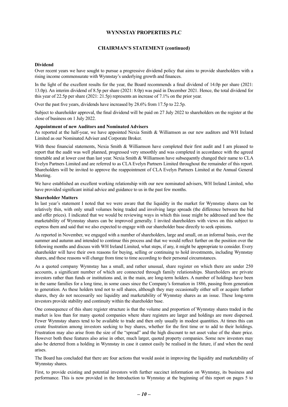#### **CHAIRMAN'S STATEMENT (continued)**

#### **Dividend**

Over recent years we have sought to pursue a progressive dividend policy that aims to provide shareholders with a rising income commensurate with Wynnstay's underlying growth and finances.

In the light of the excellent results for the year, the Board recommends a final dividend of 14.0p per share (2021: 13.0p). An interim dividend of 8.5p per share (2021: 8.0p) was paid in December 2021. Hence, the total dividend for this year of 22.5p per share (2021: 21.5p) represents an increase of 7.1% on the prior year.

Over the past five years, dividends have increased by 28.6% from 17.5p to 22.5p.

Subject to shareholder approval, the final dividend will be paid on 27 July 2022 to shareholders on the register at the close of business on 1 July 2022.

#### **Appointment of new Auditors and Nominated Advisers**

As reported at the half-year, we have appointed Nexia Smith & Williamson as our new auditors and WH Ireland Limited as our Nominated Adviser and Corporate Broker.

With these financial statements, Nexia Smith & Williamson have completed their first audit and I am pleased to report that the audit was well planned, progressed very smoothly and was completed in accordance with the agreed timetable and at lower cost than last year. Nexia Smith & Williamson have subsequently changed their name to CLA Evelyn Partners Limited and are referred to as CLA Evelyn Partners Limited throughout the remainder of this report. Shareholders will be invited to approve the reappointment of CLA Evelyn Partners Limited at the Annual General Meeting.

We have established an excellent working relationship with our new nominated advisers, WH Ireland Limited, who have provided significant initial advice and guidance to us in the past few months.

#### **Shareholder Matters**

In last year's statement I noted that we were aware that the liquidity in the market for Wynnstay shares can be relatively thin, with only small volumes being traded and involving large spreads (the difference between the bid and offer prices). I indicated that we would be reviewing ways in which this issue might be addressed and how the marketability of Wynnstay shares can be improved generally. I invited shareholders with views on this subject to express them and said that we also expected to engage with our shareholder base directly to seek opinions.

As reported in November, we engaged with a number of shareholders, large and small, on an informal basis, over the summer and autumn and intended to continue this process and that we would reflect further on the position over the following months and discuss with WH Ireland Limited, what steps, if any, it might be appropriate to consider. Every shareholder will have their own reasons for buying, selling or continuing to hold investments, including Wynnstay shares, and these reasons will change from time to time according to their personal circumstances.

As a quoted company Wynnstay has a small, and rather unusual, share register on which there are under 250 accounts, a significant number of which are connected through family relationships. Shareholders are private investors rather than funds or institutions and, in the main, are long-term holders. A number of holdings have been in the same families for a long time, in some cases since the Company's formation in 1886, passing from generation to generation. As these holders tend not to sell shares, although they may occasionally either sell or acquire further shares, they do not necessarily see liquidity and marketability of Wynnstay shares as an issue. These long-term investors provide stability and continuity within the shareholder base.

One consequence of this share register structure is that the volume and proportion of Wynnstay shares traded in the market is less than for many quoted companies where share registers are larger and holdings are more dispersed. Fewer Wynnstay shares tend to be available to trade and then only usually in modest quantities. At times this can create frustration among investors seeking to buy shares, whether for the first time or to add to their holdings. Frustration may also arise from the size of the "spread" and the high discount to net asset value of the share price. However both these features also arise in other, much larger, quoted property companies. Some new investors may also be deterred from a holding in Wynnstay in case it cannot easily be realised in the future, if and when the need arises.

The Board has concluded that there are four actions that would assist in improving the liquidity and marketability of Wynnstay shares.

First, to provide existing and potential investors with further succinct information on Wynnstay, its business and performance. This is now provided in the Introduction to Wynnstay at the beginning of this report on pages 5 to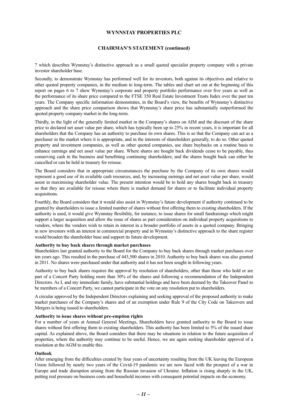#### **CHAIRMAN'S STATEMENT (continued)**

7 which describes Wynnstay's distinctive approach as a small quoted specialist property company with a private investor shareholder base.

Secondly, to demonstrate Wynnstay has performed well for its investors, both against its objectives and relative to other quoted property companies, in the medium to long-term. The tables and chart set out at the beginning of this report on pages 6 to 7 show Wynnstay's corporate and property portfolio performance over five years as well as the performance of its share price compared to the FTSE 350 Real Estate Investment Trusts Index over the past ten years. The Company specific information demonstrates, in the Board's view, the benefits of Wynnstay's distinctive approach and the share price comparison shows that Wynnstay's share price has substantially outperformed the quoted property company market in the long-term.

Thirdly, in the light of the generally limited market in the Company's shares on AIM and the discount of the share price to declared net asset value per share, which has typically been up to 25% in recent years, it is important for all shareholders that the Company has an authority to purchase its own shares. This is so that the Company can act as a purchaser in the market where it is appropriate, and in the interests of shareholders generally, to do so. Other quoted property and investment companies, as well as other quoted companies, use share buybacks on a routine basis to enhance earnings and net asset value per share. Where shares are bought back dividends cease to be payable, thus conserving cash in the business and benefitting continuing shareholders; and the shares bought back can either be cancelled or can be held in treasury for reissue.

The Board considers that in appropriate circumstances the purchase by the Company of its own shares would represent a good use of its available cash resources, and, by increasing earnings and net asset value per share, would assist in maximising shareholder value. The present intention would be to hold any shares bought back in treasury so that they are available for reissue where there is market demand for shares or to facilitate individual property acquisitions.

Fourthly, the Board considers that it would also assist in Wynnstay's future development if authority continued to be granted by shareholders to issue a limited number of shares without first offering them to existing shareholders. If the authority is used, it would give Wynnstay flexibility, for instance, to issue shares for small fundraisings which might support a larger acquisition and allow the issue of shares as part consideration on individual property acquisitions to vendors, where the vendors wish to retain in interest in a broader portfolio of assets in a quoted company. Bringing in new investors with an interest in commercial property and in Wynnstay's distinctive approach to the share register would broaden the shareholder base and support its future development.

#### **Authority to buy back shares through market purchases**

Shareholders last granted authority to the Board for the Company to buy back shares through market purchases over ten years ago. This resulted in the purchase of 443,500 shares in 2010. Authority to buy back shares was also granted in 2011. No shares were purchased under that authority and it has not been sought in following years.

Authority to buy back shares requires the approval by resolution of shareholders, other than those who hold or are part of a Concert Party holding more than 30% of the shares and following a recommendation of the Independent Directors. As I, and my immediate family, have substantial holdings and have been deemed by the Takeover Panel to be members of a Concert Party, we cannot participate in the vote on any resolution put to shareholders.

A circular approved by the Independent Directors explaining and seeking approval of the proposed authority to make market purchases of the Company's shares and of an exemption under Rule 9 of the City Code on Takeovers and Mergers is being issued to shareholders.

#### **Authority to issue shares without pre-emption rights**

For a number of years at Annual General Meetings, Shareholders have granted authority to the Board to issue shares without first offering them to existing shareholders. This authority has been limited to 5% of the issued share capital. As explained above, the Board considers that there may be situations in relation to the future acquisition of properties, where the authority may continue to be useful. Hence, we are again seeking shareholder approval of a resolution at the AGM to enable this.

#### **Outlook**

After emerging from the difficulties created by four years of uncertainty resulting from the UK leaving the European Union followed by nearly two years of the Covid-19 pandemic we are now faced with the prospect of a war in Europe and trade disruption arising from the Russian invasion of Ukraine. Inflation is rising sharply in the UK, putting real pressure on business costs and household incomes with consequent potential impacts on the economy.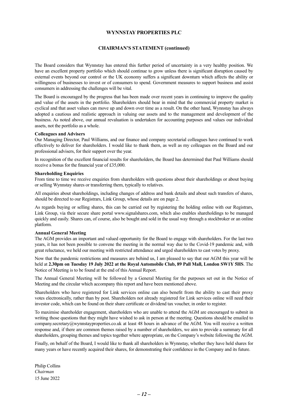#### **CHAIRMAN'S STATEMENT (continued)**

The Board considers that Wynnstay has entered this further period of uncertainty in a very healthy position. We have an excellent property portfolio which should continue to grow unless there is significant disruption caused by external events beyond our control or the UK economy suffers a significant downturn which affects the ability or willingness of businesses to invest or of consumers to spend. Government measures to support business and assist consumers in addressing the challenges will be vital.

The Board is encouraged by the progress that has been made over recent years in continuing to improve the quality and value of the assets in the portfolio. Shareholders should bear in mind that the commercial property market is cyclical and that asset values can move up and down over time as a result. On the other hand, Wynnstay has always adopted a cautious and realistic approach in valuing our assets and to the management and development of the business. As noted above, our annual revaluation is undertaken for accounting purposes and values our individual assets, not the portfolio as a whole.

#### **Colleagues and Advisers**

Our Managing Director, Paul Williams, and our finance and company secretarial colleagues have continued to work effectively to deliver for shareholders. I would like to thank them, as well as my colleagues on the Board and our professional advisers, for their support over the year.

In recognition of the excellent financial results for shareholders, the Board has determined that Paul Williams should receive a bonus for the financial year of £35,000.

#### **Shareholding Enquiries**

From time to time we receive enquiries from shareholders with questions about their shareholdings or about buying or selling Wynnstay shares or transferring them, typically to relatives.

All enquiries about shareholdings, including changes of address and bank details and about such transfers of shares, should be directed to our Registrars, Link Group, whose details are on page 2.

As regards buying or selling shares, this can be carried out by registering the holding online with our Registrars, Link Group, via their secure share portal www.signalshares.com, which also enables shareholdings to be managed quickly and easily. Shares can, of course, also be bought and sold in the usual way through a stockbroker or an online platform.

#### **Annual General Meeting**

The AGM provides an important and valued opportunity for the Board to engage with shareholders. For the last two years, it has not been possible to convene the meeting in the normal way due to the Covid-19 pandemic and, with great reluctance, we held our meeting with restricted attendance and urged shareholders to cast votes by proxy.

Now that the pandemic restrictions and measures are behind us, I am pleased to say that our AGM this year will be held at **2.30pm on Tuesday 19 July 2022 at the Royal Automobile Club, 89 Pall Mall, London SW1Y 5HS**. The Notice of Meeting is to be found at the end of this Annual Report.

The Annual General Meeting will be followed by a General Meeting for the purposes set out in the Notice of Meeting and the circular which accompany this report and have been mentioned above.

Shareholders who have registered for Link services online can also benefit from the ability to cast their proxy votes electronically, rather than by post. Shareholders not already registered for Link services online will need their investor code, which can be found on their share certificate or dividend tax voucher, in order to register.

To maximise shareholder engagement, shareholders who are unable to attend the AGM are encouraged to submit in writing those questions that they might have wished to ask in person at the meeting. Questions should be emailed to company.secretary@wynnstayproperties.co.uk at least 48 hours in advance of the AGM. You will receive a written response and, if there are common themes raised by a number of shareholders, we aim to provide a summary for all shareholders, grouping themes and topics together where appropriate, on the Company's website following the AGM.

Finally, on behalf of the Board, I would like to thank all shareholders in Wynnstay, whether they have held shares for many years or have recently acquired their shares, for demonstrating their confidence in the Company and its future.

Philip Collins *Chairman* 15 June 2022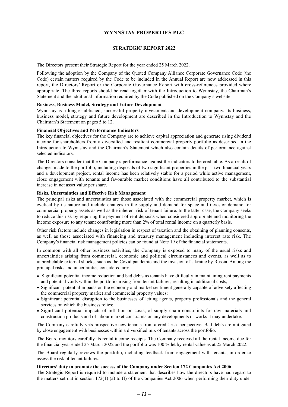#### **STRATEGIC REPORT 2022**

<span id="page-13-0"></span>The Directors present their Strategic Report for the year ended 25 March 2022.

Following the adoption by the Company of the Quoted Company Alliance Corporate Governance Code (the Code) certain matters required by the Code to be included in the Annual Report are now addressed in this report, the Directors' Report or the Corporate Governance Report with cross-references provided where appropriate. The three reports should be read together with the Introduction to Wynnstay, the Chairman's Statement and the additional information required by the Code published on the Company's website.

#### **Business, Business Model, Strategy and Future Development**

Wynnstay is a long-established, successful property investment and development company. Its business, business model, strategy and future development are described in the Introduction to Wynnstay and the Chairman's Statement on pages 5 to 12.

#### **Financial Objectives and Performance Indicators**

The key financial objectives for the Company are to achieve capital appreciation and generate rising dividend income for shareholders from a diversified and resilient commercial property portfolio as described in the Introduction to Wynnstay and the Chairman's Statement which also contain details of performance against selected indicators.

The Directors consider that the Company's performance against the indicators to be creditable. As a result of changes made to the portfolio, including disposals of two significant properties in the past two financial years and a development project, rental income has been relatively stable for a period while active management, close engagement with tenants and favourable market conditions have all contributed to the substantial increase in net asset value per share.

#### **Risks, Uncertainties and Effective Risk Management**

The principal risks and uncertainties are those associated with the commercial property market, which is cyclical by its nature and include changes in the supply and demand for space and investor demand for commercial property assets as well as the inherent risk of tenant failure. In the latter case, the Company seeks to reduce this risk by requiring the payment of rent deposits when considered appropriate and monitoring the income exposure to any tenant contributing more than 2% of total rental income on a quarterly basis.

Other risk factors include changes in legislation in respect of taxation and the obtaining of planning consents, as well as those associated with financing and treasury management including interest rate risk. The Company's financial risk management policies can be found at Note 19 of the financial statements.

In common with all other business activities, the Company is exposed to many of the usual risks and uncertainties arising from commercial, economic and political circumstances and events, as well as to unpredictable external shocks, such as the Covid pandemic and the invasion of Ukraine by Russia. Among the principal risks and uncertainties considered are:

- Significant potential income reduction and bad debts as tenants have difficulty in maintaining rent payments and potential voids within the portfolio arising from tenant failures, resulting in additional costs;
- Significant potential impacts on the economy and market sentiment generally capable of adversely affecting the commercial property market and commercial property values;
- Significant potential disruption to the businesses of letting agents, property professionals and the general services on which the business relies;
- Significant potential impacts of inflation on costs, of supply chain constraints for raw materials and construction products and of labour market constraints on any developments or works it may undertake.

The Company carefully vets prospective new tenants from a credit risk perspective. Bad debts are mitigated by close engagement with businesses within a diversified mix of tenants across the portfolio.

The Board monitors carefully its rental income receipts. The Company received all the rental income due for the financial year ended 25 March 2022 and the portfolio was 100 % let by rental value as at 25 March 2022.

The Board regularly reviews the portfolio, including feedback from engagement with tenants, in order to assess the risk of tenant failures.

#### **Directors' duty to promote the success of the Company under Section 172 Companies Act 2006**

The Strategic Report is required to include a statement that describes how the directors have had regard to the matters set out in section 172(1) (a) to (f) of the Companies Act 2006 when performing their duty under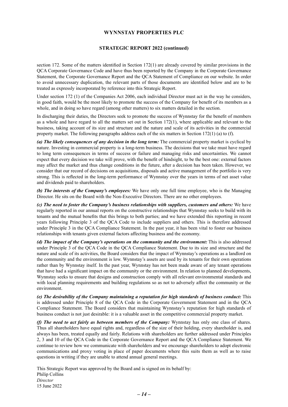## **STRATEGIC REPORT 2022 (continued)**

section 172. Some of the matters identified in Section 172(1) are already covered by similar provisions in the QCA Corporate Governance Code and have thus been reported by the Company in the Corporate Governance Statement, the Corporate Governance Report and the QCA Statement of Compliance on our website. In order to avoid unnecessary duplication, the relevant parts of those documents are identified below and are to be treated as expressly incorporated by reference into this Strategic Report.

Under section 172 (1) of the Companies Act 2006, each individual Director must act in the way he considers, in good faith, would be the most likely to promote the success of the Company for benefit of its members as a whole, and in doing so have regard (among other matters) to six matters detailed in the section.

In discharging their duties, the Directors seek to promote the success of Wynnstay for the benefit of members as a whole and have regard to all the matters set out in Section 172(1), where applicable and relevant to the business, taking account of its size and structure and the nature and scale of its activities in the commercial property market. The following paragraphs address each of the six matters in Section 172(1) (a) to (f).

*(a) The likely consequences of any decision in the long term:* The commercial property market is cyclical by nature. Investing in commercial property is a long-term business. The decisions that we take must have regard to long term consequences in terms of success or failure and managing risks and uncertainties. We cannot expect that every decision we take will prove, with the benefit of hindsight, to be the best one: external factors may affect the market and thus change conditions in the future, after a decision has been taken. However, we consider that our record of decisions on acquisitions, disposals and active management of the portfolio is very strong. This is reflected in the long-term performance of Wynnstay over the years in terms of net asset value and dividends paid to shareholders.

*(b) The interests of the Company's employees:* We have only one full time employee, who is the Managing Director. He sits on the Board with the Non-Executive Directors. There are no other employees.

*(c) The need to foster the Company's business relationships with suppliers, customers and others:* We have regularly reported in our annual reports on the constructive relationships that Wynnstay seeks to build with its tenants and the mutual benefits that this brings to both parties; and we have extended this reporting in recent years following Principle 3 of the QCA Code to include suppliers and others. This is therefore addressed under Principle 3 in the QCA Compliance Statement. In the past year, it has been vital to foster our business relationships with tenants given external factors affecting business and the economy.

*(d) The impact of the Company's operations on the community and the environment:* This is also addressed under Principle 3 of the QCA Code in the QCA Compliance Statement. Due to its size and structure and the nature and scale of its activities, the Board considers that the impact of Wynnstay's operations as a landlord on the community and the environment is low. Wynnstay's assets are used by its tenants for their own operations rather than by Wynnstay itself. In the past year, Wynnstay has not been made aware of any tenant operations that have had a significant impact on the community or the environment. In relation to planned developments, Wynnstay seeks to ensure that designs and construction comply with all relevant environmental standards and with local planning requirements and building regulations so as not to adversely affect the community or the environment.

*(e) The desirability of the Company maintaining a reputation for high standards of business conduct:* This is addressed under Principle 8 of the QCA Code in the Corporate Government Statement and in the QCA Compliance Statement. The Board considers that maintaining Wynnstay's reputation for high standards of business conduct is not just desirable: it is a valuable asset in the competitive commercial property market.

*(f) The need to act fairly as between members of the Company:* Wynnstay has only one class of shares. Thus all shareholders have equal rights and, regardless of the size of their holding, every shareholder is, and always has been, treated equally and fairly. Relations with shareholders are further addressed under Principles 2, 3 and 10 of the QCA Code in the Corporate Governance Report and the QCA Compliance Statement. We continue to review how we communicate with shareholders and we encourage shareholders to adopt electronic communications and proxy voting in place of paper documents where this suits them as well as to raise questions in writing if they are unable to attend annual general meetings.

This Strategic Report was approved by the Board and is signed on its behalf by: Philip Collins *Director* 15 June 2022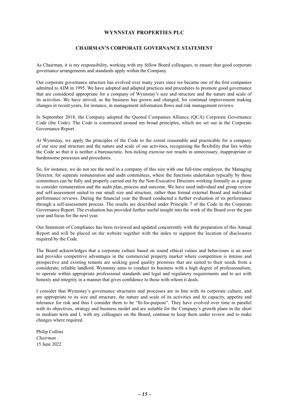#### **CHAIRMAN'S CORPORATE GOVERNANCE STATEMENT**

<span id="page-15-0"></span>As Chairman, it is my responsibility, working with my fellow Board colleagues, to ensure that good corporate governance arrangements and standards apply within the Company.

Our corporate governance structure has evolved over many years since we became one of the first companies admitted to AIM in 1995. We have adopted and adapted practices and procedures to promote good governance that are considered appropriate for a company of Wynnstay's size and structure and the nature and scale of its activities. We have strived, as the business has grown and changed, for continual improvement making changes in recent years, for instance, in management information flows and risk management reviews.

In September 2018, the Company adopted the Quoted Companies Alliance (QCA) Corporate Governance Code (the Code). The Code is constructed around ten broad principles, which are set out in the Corporate Governance Report.

At Wynnstay, we apply the principles of the Code to the extent reasonable and practicable for a company of our size and structure and the nature and scale of our activities, recognising the flexibility that lies within the Code so that it is neither a bureaucratic, box-ticking exercise nor results in unnecessary, inappropriate or burdensome processes and procedures.

So, for instance, we do not see the need in a company of this size with one full-time employee, the Managing Director, for separate remuneration and audit committees, where the functions undertaken typically by those committees can be fully and properly carried out by the Non-Executive Directors working formally as a group to consider remuneration and the audit plan, process and outcome. We have used individual and group review and self-assessment suited to our small size and structure, rather than formal external Board and individual performance reviews. During the financial year the Board conducted a further evaluation of its performance through a self-assessment process. The results are described under Principle 7 of the Code in the Corporate Governance Report. The evaluation has provided further useful insight into the work of the Board over the past year and focus for the next year.

Our Statement of Compliance has been reviewed and updated concurrently with the preparation of this Annual Report and will be placed on the website together with the index to signpost the location of disclosures required by the Code.

The Board acknowledges that a corporate culture based on sound ethical values and behaviours is an asset and provides competitive advantages in the commercial property market where competition is intense and prospective and existing tenants are seeking good quality premises that are suited to their needs from a considerate, reliable landlord. Wynnstay aims to conduct its business with a high degree of professionalism, to operate within appropriate professional standards and legal and regulatory requirements and to act with honesty and integrity in a manner that gives confidence to those with whom it deals.

I consider that Wynnstay's governance structures and processes are in line with its corporate culture, and are appropriate to its size and structure, the nature and scale of its activities and its capacity, appetite and tolerance for risk and thus I consider them to be "fit-for-purpose". They have evolved over time in parallel with its objectives, strategy and business model and are suitable for the Company's growth plans in the short to medium term and I, with my colleagues on the Board, continue to keep them under review and to make changes where required.

Philip Collins *Chairman* 15 June 2022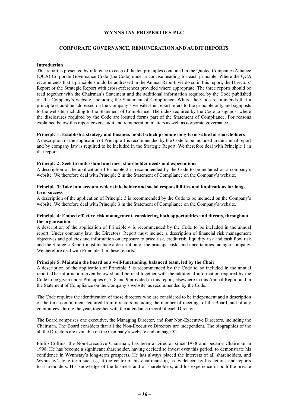#### **CORPORATE GOVERNANCE, REMUNERATION AND AUDIT REPORTS**

#### <span id="page-16-0"></span>**Introduction**

This report is presented by reference to each of the ten principles contained in the Quoted Companies Alliance (QCA) Corporate Governance Code (the Code) under a concise heading for each principle. Where the QCA recommends that a principle should be addressed in the Annual Report, we do so in this report, the Directors' Report or the Strategic Report with cross-references provided where appropriate. The three reports should be read together with the Chairman's Statement and the additional information required by the Code published on the Company's website, including the Statement of Compliance. Where the Code recommends that a principle should be addressed on the Company's website, this report refers to the principle only and signposts to the website, including to the Statement of Compliance. The index required by the Code to signpost where the disclosures required by the Code are located forms part of the Statement of Compliance. For reasons explained below this report covers audit and remuneration matters as well as corporate governance.

#### **Principle 1: Establish a strategy and business model which promote long-term value for shareholders**

A description of the application of Principle 1 is recommended by the Code to be included in the annual report and by company law is required to be included in the Strategic Report. We therefore deal with Principle 1 in that report.

#### **Principle 2: Seek to understand and meet shareholder needs and expectations**

A description of the application of Principle 2 is recommended by the Code to be included on a company's website. We therefore deal with Principle 2 in the Statement of Compliance on the Company's website.

#### **Principle 3: Take into account wider stakeholder and social responsibilities and implications for longterm success**

A description of the application of Principle 3 is recommended by the Code to be included on the Company's website. We therefore deal with Principle 3 in the Statement of Compliance on the Company's website.

#### **Principle 4: Embed effective risk management, considering both opportunities and threats, throughout the organisation**

A description of the application of Principle 4 is recommended by the Code to be included in the annual report. Under company law, the Directors' Report must include a description of financial risk management objectives and policies and information on exposure to price risk, credit risk, liquidity risk and cash flow risk and the Strategic Report must include a description of the principal risks and uncertainties facing a company. We therefore deal with Principle 4 in these reports.

#### **Principle 5: Maintain the board as a well-functioning, balanced team, led by the Chair**

A description of the application of Principle 5 is recommended by the Code to be included in the annual report. The information given below should be read together with the additional information required by the Code to be given under Principles 6, 7, 8 and 9 provided in this report, elsewhere in this Annual Report and in the Statement of Compliance on the Company's website, as recommended by the Code.

The Code requires the identification of those directors who are considered to be independent and a description of the time commitment required from directors including the number of meetings of the Board, and of any committees, during the year, together with the attendance record of each Director.

The Board comprises one executive, the Managing Director, and four Non-Executive Directors, including the Chairman. The Board considers that all the Non-Executive Directors are independent. The biographies of the all the Directors are available on the Company's website and on page 52.

Philip Collins, the Non-Executive Chairman, has been a Director since 1988 and became Chairman in 1998. He has become a significant shareholder, having decided to invest over this period, to demonstrate his confidence in Wynnstay's long-term prospects. He has always placed the interests of all shareholders, and Wynnstay's long term success, at the centre of his chairmanship, as evidenced by his actions and reports to shareholders. His knowledge of the business and of shareholders, and his experience in both the private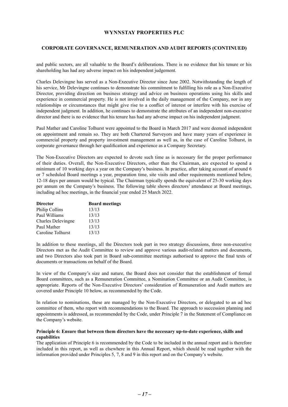## **CORPORATE GOVERNANCE, REMUNERATION AND AUDIT REPORTS (CONTINUED)**

and public sectors, are all valuable to the Board's deliberations. There is no evidence that his tenure or his shareholding has had any adverse impact on his independent judgement.

Charles Delevingne has served as a Non-Executive Director since June 2002. Notwithstanding the length of his service, Mr Delevingne continues to demonstrate his commitment to fulfilling his role as a Non-Executive Director, providing direction on business strategy and advice on business operations using his skills and experience in commercial property. He is not involved in the daily management of the Company, nor in any relationships or circumstances that might give rise to a conflict of interest or interfere with his exercise of independent judgment. In addition, he continues to demonstrate the attributes of an independent non-executive director and there is no evidence that his tenure has had any adverse impact on his independent judgment.

Paul Mather and Caroline Tolhurst were appointed to the Board in March 2017 and were deemed independent on appointment and remain so. They are both Chartered Surveyors and have many years of experience in commercial property and property investment management as well as, in the case of Caroline Tolhurst, in corporate governance through her qualification and experience as a Company Secretary.

The Non-Executive Directors are expected to devote such time as is necessary for the proper performance of their duties. Overall, the Non-Executive Directors, other than the Chairman, are expected to spend a minimum of 10 working days a year on the Company's business. In practice, after taking account of around 6 or 7 scheduled Board meetings a year, preparation time, site visits and other requirements mentioned below, 12-18 days per annum would be typical. The Chairman typically spends the equivalent of 25-30 working days per annum on the Company's business. The following table shows directors' attendance at Board meetings, including ad hoc meetings, in the financial year ended 25 March 2022.

| <b>Board meetings</b> |
|-----------------------|
| 13/13                 |
| 13/13                 |
| 13/13                 |
| 13/13                 |
| 13/13                 |
|                       |

In addition to these meetings, all the Directors took part in two strategy discussions, three non-executive Directors met as the Audit Committee to review and approve various audit-related matters and documents, and two Directors also took part in Board sub-committee meetings authorised to approve the final texts of documents or transactions on behalf of the Board.

In view of the Company's size and nature, the Board does not consider that the establishment of formal Board committees, such as a Remuneration Committee, a Nomination Committee or an Audit Committee, is appropriate. Reports of the Non-Executive Directors' consideration of Remuneration and Audit matters are covered under Principle 10 below, as recommended by the Code.

In relation to nominations, these are managed by the Non-Executive Directors, or delegated to an ad hoc committee of them, who report with recommendations to the Board. The approach to succession planning and appointments is addressed, as recommended by the Code, under Principle 7 in the Statement of Compliance on the Company's website.

#### **Principle 6: Ensure that between them directors have the necessary up-to-date experience, skills and capabilities**

The application of Principle 6 is recommended by the Code to be included in the annual report and is therefore included in this report, as well as elsewhere in this Annual Report, which should be read together with the information provided under Principles 5, 7, 8 and 9 in this report and on the Company's website.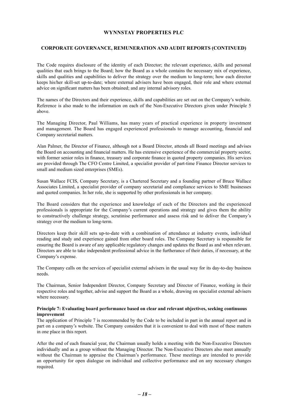## **CORPORATE GOVERNANCE, REMUNERATION AND AUDIT REPORTS (CONTINUED)**

The Code requires disclosure of the identity of each Director; the relevant experience, skills and personal qualities that each brings to the Board; how the Board as a whole contains the necessary mix of experience, skills and qualities and capabilities to deliver the strategy over the medium to long-term; how each director keeps his/her skill-set up-to-date; where external advisers have been engaged, their role and where external advice on significant matters has been obtained; and any internal advisory roles.

The names of the Directors and their experience, skills and capabilities are set out on the Company's website. Reference is also made to the information on each of the Non-Executive Directors given under Principle 5 above.

The Managing Director, Paul Williams, has many years of practical experience in property investment and management. The Board has engaged experienced professionals to manage accounting, financial and Company secretarial matters.

Alan Palmer, the Director of Finance, although not a Board Director, attends all Board meetings and advises the Board on accounting and financial matters. He has extensive experience of the commercial property sector, with former senior roles in finance, treasury and corporate finance in quoted property companies. His services are provided through The CFO Centre Limited, a specialist provider of part-time Finance Director services to small and medium sized enterprises (SMEs).

Susan Wallace FCIS, Company Secretary, is a Chartered Secretary and a founding partner of Bruce Wallace Associates Limited, a specialist provider of company secretarial and compliance services to SME businesses and quoted companies. In her role, she is supported by other professionals in her company.

The Board considers that the experience and knowledge of each of the Directors and the experienced professionals is appropriate for the Company's current operations and strategy and gives them the ability to constructively challenge strategy, scrutinise performance and assess risk and to deliver the Company's strategy over the medium to long-term.

Directors keep their skill sets up-to-date with a combination of attendance at industry events, individual reading and study and experience gained from other board roles. The Company Secretary is responsible for ensuring the Board is aware of any applicable regulatory changes and updates the Board as and when relevant. Directors are able to take independent professional advice in the furtherance of their duties, if necessary, at the Company's expense.

The Company calls on the services of specialist external advisers in the usual way for its day-to-day business needs.

The Chairman, Senior Independent Director, Company Secretary and Director of Finance, working in their respective roles and together, advise and support the Board as a whole, drawing on specialist external advisers where necessary.

#### **Principle 7: Evaluating board performance based on clear and relevant objectives, seeking continuous improvement**

The application of Principle 7 is recommended by the Code to be included in part in the annual report and in part on a company's website. The Company considers that it is convenient to deal with most of these matters in one place in this report.

After the end of each financial year, the Chairman usually holds a meeting with the Non-Executive Directors individually and as a group without the Managing Director. The Non-Executive Directors also meet annually without the Chairman to appraise the Chairman's performance. These meetings are intended to provide an opportunity for open dialogue on individual and collective performance and on any necessary changes required.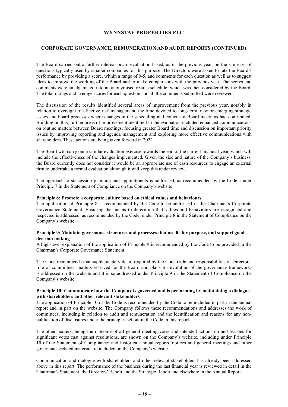#### **CORPORATE GOVERNANCE, REMUNERATION AND AUDIT REPORTS (CONTINUED)**

The Board carried out a further internal board evaluation based, as in the previous year, on the same set of questions typically used by smaller companies for this purpose. The Directors were asked to rate the Board's performance by providing a score, within a range of 0-5, and comments for each question as well as to suggest ideas to improve the working of the Board and to make comparisons with the previous year. The scores and comments were amalgamated into an anonymised results schedule, which was then considered by the Board. The total ratings and average scores for each question and all the comments submitted were reviewed.

The discussion of the results identified several areas of improvement from the previous year, notably in relation to oversight of effective risk management, the time devoted to long-term, new or emerging strategic issues and board processes where changes in the scheduling and content of Board meetings had contributed. Building on this, further areas of improvement identified in the evaluation included enhanced communications on routine matters between Board meetings, focusing greater Board time and discussion on important priority issues by improving reporting and agenda management and exploring more effective communications with shareholders. These actions are being taken forward in 2022.

The Board will carry out a similar evaluation exercise towards the end of the current financial year, which will include the effectiveness of the changes implemented. Given the size and nature of the Company's business, the Board currently does not consider it would be an appropriate use of cash resources to engage an external firm to undertake a formal evaluation although it will keep this under review.

The approach to succession planning and appointments is addressed, as recommended by the Code, under Principle 7 in the Statement of Compliance on the Company's website.

#### **Principle 8: Promote a corporate culture based on ethical values and behaviours**

The application of Principle 8 is recommended by the Code to be addressed in the Chairman's Corporate Governance Statement. Ensuring the means to determine that values and behaviours are recognised and respected is addressed, as recommended by the Code, under Principle 8 in the Statement of Compliance on the Company's website.

#### **Principle 9: Maintain governance structures and processes that are fit-for-purpose, and support good decision making**

A high-level explanation of the application of Principle 9 is recommended by the Code to be provided in the Chairman's Corporate Governance Statement.

The Code recommends that supplementary detail required by the Code (role and responsibilities of Directors, role of committees, matters reserved for the Board and plans for evolution of the governance framework) is addressed on the website and it is so addressed under Principle 9 in the Statement of Compliance on the Company's website.

#### **Principle 10: Communicate how the Company is governed and is performing by maintaining a dialogue with shareholders and other relevant stakeholders**

The application of Principle 10 of the Code is recommended by the Code to be included in part in the annual report and in part on the website. The Company follows these recommendations and addresses the work of committees, including in relation to audit and remuneration and the identification and reasons for any nonpublication of disclosures under the principles set out in the Code in this report.

The other matters, being the outcome of all general meeting votes and intended actions on and reasons for significant votes cast against resolutions, are shown on the Company's website, including under Principle 10 of the Statement of Compliance; and historical annual reports, notices and general meetings and other governance-related material are included on the Company's website.

Communication and dialogue with shareholders and other relevant stakeholders has already been addressed above in this report. The performance of the business during the last financial year is reviewed in detail in the Chairman's Statement, the Directors' Report and the Strategic Report and elsewhere in the Annual Report.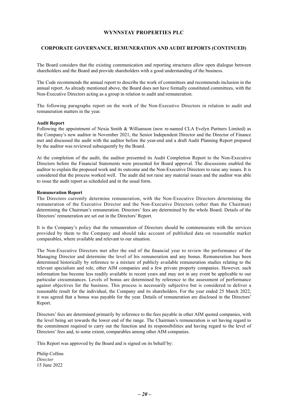## **CORPORATE GOVERNANCE, REMUNERATION AND AUDIT REPORTS (CONTINUED)**

The Board considers that the existing communication and reporting structures allow open dialogue between shareholders and the Board and provide shareholders with a good understanding of the business.

The Code recommends the annual report to describe the work of committees and recommends inclusion in the annual report. As already mentioned above, the Board does not have formally constituted committees, with the Non-Executive Directors acting as a group in relation to audit and remuneration.

The following paragraphs report on the work of the Non-Executive Directors in relation to audit and remuneration matters in the year.

#### **Audit Report**

Following the appointment of Nexia Smith & Williamson (now re-named CLA Evelyn Partners Limited) as the Company's new auditor in November 2021, the Senior Independent Director and the Director of Finance met and discussed the audit with the auditor before the year-end and a draft Audit Planning Report prepared by the auditor was reviewed subsequently by the Board.

At the completion of the audit, the auditor presented its Audit Completion Report to the Non-Executive Directors before the Financial Statements were presented for Board approval. The discussions enabled the auditor to explain the proposed work and its outcome and the Non-Executive Directors to raise any issues. It is considered that the process worked well. The audit did not raise any material issues and the auditor was able to issue the audit report as scheduled and in the usual form.

#### **Remuneration Report**

The Directors currently determine remuneration, with the Non-Executive Directors determining the remuneration of the Executive Director and the Non-Executive Directors (other than the Chairman) determining the Chairman's remuneration. Directors' fees are determined by the whole Board. Details of the Directors' remuneration are set out in the Directors' Report.

It is the Company's policy that the remuneration of Directors should be commensurate with the services provided by them to the Company and should take account of published data on reasonable market comparables, where available and relevant to our situation.

The Non-Executive Directors met after the end of the financial year to review the performance of the Managing Director and determine the level of his remuneration and any bonus. Remuneration has been determined historically by reference to a mixture of publicly available remuneration studies relating to the relevant specialism and role, other AIM companies and a few private property companies. However, such information has become less readily available in recent years and may not in any event be applicable to our particular circumstances. Levels of bonus are determined by reference to the assessment of performance against objectives for the business. This process is necessarily subjective but is considered to deliver a reasonable result for the individual, the Company and its shareholders. For the year ended 25 March 2022, it was agreed that a bonus was payable for the year. Details of remuneration are disclosed in the Directors' Report.

Directors' fees are determined primarily by reference to the fees payable in other AIM quoted companies, with the level being set towards the lower end of the range. The Chairman's remuneration is set having regard to the commitment required to carry out the function and its responsibilities and having regard to the level of Directors' fees and, to some extent, comparables among other AIM companies.

This Report was approved by the Board and is signed on its behalf by:

Philip Collins *Director* 15 June 2022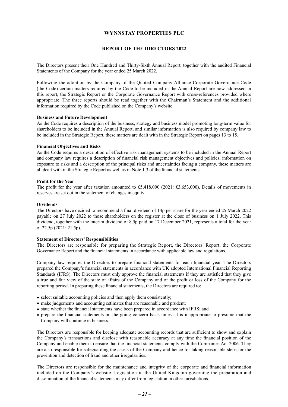#### **REPORT OF THE DIRECTORS 2022**

<span id="page-21-0"></span>The Directors present their One Hundred and Thirty-Sixth Annual Report, together with the audited Financial Statements of the Company for the year ended 25 March 2022.

Following the adoption by the Company of the Quoted Company Alliance Corporate Governance Code (the Code) certain matters required by the Code to be included in the Annual Report are now addressed in this report, the Strategic Report or the Corporate Governance Report with cross-references provided where appropriate. The three reports should be read together with the Chairman's Statement and the additional information required by the Code published on the Company's website.

#### **Business and Future Development**

As the Code requires a description of the business, strategy and business model promoting long-term value for shareholders to be included in the Annual Report, and similar information is also required by company law to be included in the Strategic Report, these matters are dealt with in the Strategic Report on pages 13 to 15.

#### **Financial Objectives and Risks**

As the Code requires a description of effective risk management systems to be included in the Annual Report and company law requires a description of financial risk management objectives and policies, information on exposure to risks and a description of the principal risks and uncertainties facing a company, these matters are all dealt with in the Strategic Report as well as in Note 1.3 of the financial statements.

#### **Profit for the Year**

The profit for the year after taxation amounted to £5,418,000 (2021: £3,653,000). Details of movements in reserves are set out in the statement of changes in equity.

#### **Dividends**

The Directors have decided to recommend a final dividend of 14p per share for the year ended 25 March 2022 payable on 27 July 2022 to those shareholders on the register at the close of business on 1 July 2022. This dividend, together with the interim dividend of 8.5p paid on 17 December 2021, represents a total for the year of 22.5p (2021: 21.5p).

#### **Statement of Directors' Responsibilities**

The Directors are responsible for preparing the Strategic Report, the Directors' Report, the Corporate Governance Report and the financial statements in accordance with applicable law and regulations.

Company law requires the Directors to prepare financial statements for each financial year. The Directors prepared the Company's financial statements in accordance with UK adopted International Financial Reporting Standards (IFRS). The Directors must only approve the financial statements if they are satisfied that they give a true and fair view of the state of affairs of the Company and of the profit or loss of the Company for the reporting period. In preparing these financial statements, the Directors are required to:

- select suitable accounting policies and then apply them consistently;
- make judgements and accounting estimates that are reasonable and prudent;
- state whether the financial statements have been prepared in accordance with IFRS; and
- prepare the financial statements on the going concern basis unless it is inappropriate to presume that the Company will continue in business.

The Directors are responsible for keeping adequate accounting records that are sufficient to show and explain the Company's transactions and disclose with reasonable accuracy at any time the financial position of the Company and enable them to ensure that the financial statements comply with the Companies Act 2006. They are also responsible for safeguarding the assets of the Company and hence for taking reasonable steps for the prevention and detection of fraud and other irregularities.

The Directors are responsible for the maintenance and integrity of the corporate and financial information included on the Company's website. Legislation in the United Kingdom governing the preparation and dissemination of the financial statements may differ from legislation in other jurisdictions.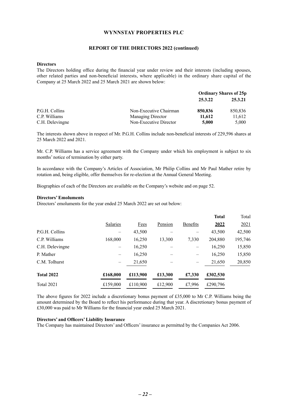#### **REPORT OF THE DIRECTORS 2022 (continued)**

#### **Directors**

The Directors holding office during the financial year under review and their interests (including spouses, other related parties and non-beneficial interests, where applicable) in the ordinary share capital of the Company at 25 March 2022 and 25 March 2021 are shown below:

|                 |                          | <b>Ordinary Shares of 25p</b> |         |  |
|-----------------|--------------------------|-------------------------------|---------|--|
|                 |                          | 25.3.22<br>25.3.21            |         |  |
| P.G.H. Collins  | Non-Executive Chairman   | 850,836                       | 850,836 |  |
| C.P. Williams   | <b>Managing Director</b> | 11,612                        | 11,612  |  |
| C.H. Delevingne | Non-Executive Director   | 5,000                         | 5,000   |  |

The interests shown above in respect of Mr. P.G.H. Collins include non-beneficial interests of 229,596 shares at 25 March 2022 and 2021.

Mr. C.P. Williams has a service agreement with the Company under which his employment is subject to six months' notice of termination by either party.

In accordance with the Company's Articles of Association, Mr Philip Collins and Mr Paul Mather retire by rotation and, being eligible, offer themselves for re-election at the Annual General Meeting.

Biographies of each of the Directors are available on the Company's website and on page 52.

#### **Directors' Emoluments**

Directors' emoluments for the year ended 25 March 2022 are set out below:

|                   |          |          |         |                 | <b>Total</b> | Total   |
|-------------------|----------|----------|---------|-----------------|--------------|---------|
|                   | Salaries | Fees     | Pension | <b>Benefits</b> | 2022         | 2021    |
| P.G.H. Collins    |          | 43,500   |         |                 | 43,500       | 42,500  |
| C.P. Williams     | 168,000  | 16,250   | 13,300  | 7,330           | 204,880      | 195,746 |
| C.H. Delevingne   |          | 16,250   |         |                 | 16,250       | 15,850  |
| P. Mather         |          | 16,250   |         |                 | 16,250       | 15,850  |
| C.M. Tolhurst     |          | 21,650   |         |                 | 21,650       | 20,850  |
|                   |          |          |         |                 |              |         |
| Total 2022        | £168,000 | £113,900 | £13,300 | £7,330          | £302,530     |         |
| <b>Total 2021</b> | £159,000 | £110,900 | £12,900 | £7,996          | £290,796     |         |
|                   |          |          |         |                 |              |         |

The above figures for 2022 include a discretionary bonus payment of £35,000 to Mr C.P. Williams being the amount determined by the Board to reflect his performance during that year. A discretionary bonus payment of £30,000 was paid to Mr Williams for the financial year ended 25 March 2021.

#### **Directors' and Officers' Liability Insurance**

The Company has maintained Directors' and Officers' insurance as permitted by the Companies Act 2006.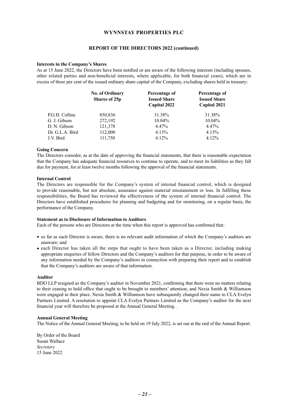#### **REPORT OF THE DIRECTORS 2022 (continued)**

#### **Interests in the Company's Shares**

As at 15 June 2022, the Directors have been notified or are aware of the following interests (including spouses, other related parties and non-beneficial interests, where applicable, for both financial years), which are in excess of three per cent of the issued ordinary share capital of the Company, excluding shares held in treasury:

|                 | <b>No. of Ordinary</b><br><b>Shares of 25p</b> | Percentage of<br><b>Issued Share</b><br>Capital 2022 | Percentage of<br><b>Issued Share</b><br>Capital 2021 |
|-----------------|------------------------------------------------|------------------------------------------------------|------------------------------------------------------|
| P.G.H. Collins  | 850,836                                        | 31.38%                                               | 31.38%                                               |
| G. J. Gibson    | 272,192                                        | $10.04\%$                                            | $10.04\%$                                            |
| D. N. Gibson    | 121,378                                        | 4.47%                                                | 4.47%                                                |
| Dr. G.L.A. Bird | 112,000                                        | 4.13%                                                | 4.13%                                                |
| J.V. Bird       | 111,750                                        | $4.12\%$                                             | 4.12%                                                |

#### **Going Concern**

The Directors consider, as at the date of approving the financial statements, that there is reasonable expectation that the Company has adequate financial resources to continue to operate, and to meet its liabilities as they fall due for payment, for at least twelve months following the approval of the financial statements.

#### **Internal Control**

The Directors are responsible for the Company's system of internal financial control, which is designed to provide reasonable, but not absolute, assurance against material misstatement or loss. In fulfilling these responsibilities, the Board has reviewed the effectiveness of the system of internal financial control. The Directors have established procedures for planning and budgeting and for monitoring, on a regular basis, the performance of the Company.

#### **Statement as to Disclosure of Information to Auditors**

Each of the persons who are Directors at the time when this report is approved has confirmed that:

- so far as each Director is aware, there is no relevant audit information of which the Company's auditors are unaware; and
- each Director has taken all the steps that ought to have been taken as a Director, including making appropriate enquiries of fellow Directors and the Company's auditors for that purpose, in order to be aware of any information needed by the Company's auditors in connection with preparing their report and to establish that the Company's auditors are aware of that information.

#### **Auditor**

BDO LLP resigned as the Company's auditor in November 2021, confirming that there were no matters relating to their ceasing to hold office that ought to be brought to members' attention, and Nexia Smith & Williamson were engaged in their place. Nexia Smith & Williamson have subsequently changed their name to CLA Evelyn Partners Limited. A resolution to appoint CLA Evelyn Partners Limited as the Company's auditor for the next financial year will therefore be proposed at the Annual General Meeting. .

#### **Annual General Meeting**

The Notice of the Annual General Meeting, to be held on 19 July 2022, is set out at the end of the Annual Report.

By Order of the Board Susan Wallace *Secretary* 15 June 2022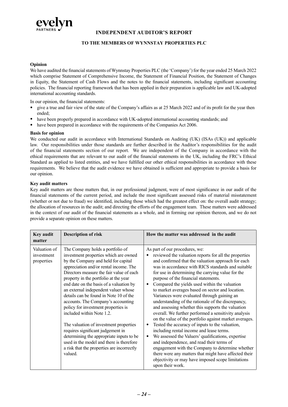<span id="page-24-0"></span>

#### **TO THE MEMBERS OF WYNNSTAY PROPERTIES PLC**

#### **Opinion**

We have audited the financial statements of Wynnstay Properties PLC (the 'Company') for the year ended 25 March 2022 which comprise Statement of Comprehensive Income, the Statement of Financial Position, the Statement of Changes in Equity, the Statement of Cash Flows and the notes to the financial statements, including significant accounting policies. The financial reporting framework that has been applied in their preparation is applicable law and UK-adopted international accounting standards.

In our opinion, the financial statements:

- give a true and fair view of the state of the Company's affairs as at 25 March 2022 and of its profit for the year then ended;
- have been properly prepared in accordance with UK-adopted international accounting standards; and
- have been prepared in accordance with the requirements of the Companies Act 2006.

#### **Basis for opinion**

We conducted our audit in accordance with International Standards on Auditing (UK) (ISAs (UK)) and applicable law. Our responsibilities under those standards are further described in the Auditor's responsibilities for the audit of the financial statements section of our report. We are independent of the Company in accordance with the ethical requirements that are relevant to our audit of the financial statements in the UK, including the FRC's Ethical Standard as applied to listed entities, and we have fulfilled our other ethical responsibilities in accordance with these requirements. We believe that the audit evidence we have obtained is sufficient and appropriate to provide a basis for our opinion.

#### **Key audit matters**

Key audit matters are those matters that, in our professional judgment, were of most significance in our audit of the financial statements of the current period, and include the most significant assessed risks of material misstatement (whether or not due to fraud) we identified, including those which had the greatest effect on: the overall audit strategy; the allocation of resources in the audit; and directing the efforts of the engagement team. These matters were addressed in the context of our audit of the financial statements as a whole, and in forming our opinion thereon, and we do not provide a separate opinion on these matters.

| <b>Key audit</b><br>matter               | <b>Description of risk</b>                                                                                                                                                                                                                                                                                                                                                                                                                                                                                                                                                                                                                                                                                             | How the matter was addressed in the audit                                                                                                                                                                                                                                                                                                                                                                                                                                                                                                                                                                                                                                                                                                                                                                                                                                                                                                                                                                                                                                 |
|------------------------------------------|------------------------------------------------------------------------------------------------------------------------------------------------------------------------------------------------------------------------------------------------------------------------------------------------------------------------------------------------------------------------------------------------------------------------------------------------------------------------------------------------------------------------------------------------------------------------------------------------------------------------------------------------------------------------------------------------------------------------|---------------------------------------------------------------------------------------------------------------------------------------------------------------------------------------------------------------------------------------------------------------------------------------------------------------------------------------------------------------------------------------------------------------------------------------------------------------------------------------------------------------------------------------------------------------------------------------------------------------------------------------------------------------------------------------------------------------------------------------------------------------------------------------------------------------------------------------------------------------------------------------------------------------------------------------------------------------------------------------------------------------------------------------------------------------------------|
| Valuation of<br>investment<br>properties | The Company holds a portfolio of<br>investment properties which are owned<br>by the Company and held for capital<br>appreciation and/or rental income. The<br>Directors measure the fair value of each<br>property in the portfolio at the year<br>end date on the basis of a valuation by<br>an external independent valuer whose<br>details can be found in Note 10 of the<br>accounts. The Company's accounting<br>policy for investment properties is<br>included within Note 1.2.<br>The valuation of investment properties<br>requires significant judgement in<br>determining the appropriate inputs to be<br>used in the model and there is therefore<br>a risk that the properties are incorrectly<br>valued. | As part of our procedures, we:<br>reviewed the valuation reports for all the properties<br>and confirmed that the valuation approach for each<br>was in accordance with RICS standards and suitable<br>for use in determining the carrying value for the<br>purpose of the financial statements.<br>Compared the yields used within the valuation<br>to market averages based on sector and location.<br>Variances were evaluated through gaining an<br>understanding of the rationale of the discrepancy,<br>and assessing whether this supports the valuation<br>overall. We further performed a sensitivity analysis<br>on the value of the portfolio against market averages.<br>Tested the accuracy of inputs to the valuation,<br>including rental income and lease terms.<br>We assessed the Valuers' qualifications, expertise<br>and independence, and read their terms of<br>engagement with the Company to determine whether<br>there were any matters that might have affected their<br>objectivity or may have imposed scope limitations<br>upon their work. |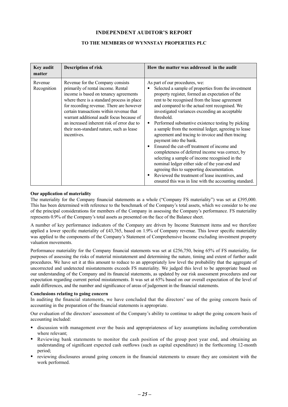#### **TO THE MEMBERS OF WYNNSTAY PROPERTIES PLC**

| Key audit<br>matter    | <b>Description of risk</b>                                                                                                                                                                                                                                                                                                                                                                                  | How the matter was addressed in the audit                                                                                                                                                                                                                                                                                                                                                                                                                                                                                                                                                                                                                                                                                                                                                                                                                                 |
|------------------------|-------------------------------------------------------------------------------------------------------------------------------------------------------------------------------------------------------------------------------------------------------------------------------------------------------------------------------------------------------------------------------------------------------------|---------------------------------------------------------------------------------------------------------------------------------------------------------------------------------------------------------------------------------------------------------------------------------------------------------------------------------------------------------------------------------------------------------------------------------------------------------------------------------------------------------------------------------------------------------------------------------------------------------------------------------------------------------------------------------------------------------------------------------------------------------------------------------------------------------------------------------------------------------------------------|
| Revenue<br>Recognition | Revenue for the Company consists<br>primarily of rental income. Rental<br>income is based on tenancy agreements<br>where there is a standard process in place<br>for recording revenue. There are however<br>certain transactions within revenue that<br>warrant additional audit focus because of<br>an increased inherent risk of error due to<br>their non-standard nature, such as lease<br>incentives. | As part of our procedures, we:<br>Selected a sample of properties from the investment<br>property register, formed an expectation of the<br>rent to be recognised from the lease agreement<br>and compared to the actual rent recognised. We<br>investigated variances exceeding an acceptable<br>threshold.<br>Performed substantive existence testing by picking<br>a sample from the nominal ledger, agreeing to lease<br>agreement and tracing to invoice and then tracing<br>payment into the bank.<br>Ensured the cut-off treatment of income and<br>completeness of deferred income was correct, by<br>selecting a sample of income recognised in the<br>nominal ledger either side of the year-end and<br>agreeing this to supporting documentation.<br>Reviewed the treatment of lease incentives, and<br>ensured this was in line with the accounting standard. |

#### **Our application of materiality**

The materiality for the Company financial statements as a whole ("Company FS materiality") was set at £395,000. This has been determined with reference to the benchmark of the Company's total assets, which we consider to be one of the principal considerations for members of the Company in assessing the Company's performance. FS materiality represents 0.9% of the Company's total assets as presented on the face of the Balance sheet.

A number of key performance indicators of the Company are driven by Income Statement items and we therefore applied a lower specific materiality of £43,765, based on 1.9% of Company revenue. This lower specific materiality was applied to the components of the Company's Statement of Comprehensive Income excluding investment property valuation movements.

Performance materiality for the Company financial statements was set at £256,750, being 65% of FS materiality, for purposes of assessing the risks of material misstatement and determining the nature, timing and extent of further audit procedures. We have set it at this amount to reduce to an appropriately low level the probability that the aggregate of uncorrected and undetected misstatements exceeds FS materiality. We judged this level to be appropriate based on our understanding of the Company and its financial statements, as updated by our risk assessment procedures and our expectation regarding current period misstatements. It was set at 65% based on our overall expectation of the level of audit differences, and the number and significance of areas of judgement in the financial statements.

#### **Conclusions relating to going concern**

In auditing the financial statements, we have concluded that the directors' use of the going concern basis of accounting in the preparation of the financial statements is appropriate.

Our evaluation of the directors' assessment of the Company's ability to continue to adopt the going concern basis of accounting included:

- discussion with management over the basis and appropriateness of key assumptions including corroboration where relevant;
- Reviewing bank statements to monitor the cash position of the group post year end, and obtaining an understanding of significant expected cash outflows (such as capital expenditure) in the forthcoming 12-month period;
- reviewing disclosures around going concern in the financial statements to ensure they are consistent with the work performed.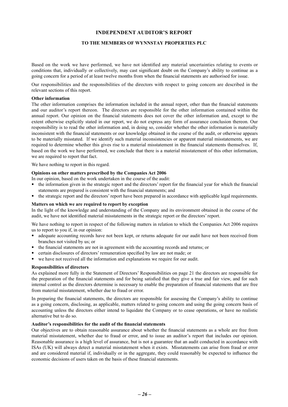#### **TO THE MEMBERS OF WYNNSTAY PROPERTIES PLC**

Based on the work we have performed, we have not identified any material uncertainties relating to events or conditions that, individually or collectively, may cast significant doubt on the Company's ability to continue as a going concern for a period of at least twelve months from when the financial statements are authorised for issue.

Our responsibilities and the responsibilities of the directors with respect to going concern are described in the relevant sections of this report.

#### **Other information**

The other information comprises the information included in the annual report, other than the financial statements and our auditor's report thereon. The directors are responsible for the other information contained within the annual report. Our opinion on the financial statements does not cover the other information and, except to the extent otherwise explicitly stated in our report, we do not express any form of assurance conclusion thereon. Our responsibility is to read the other information and, in doing so, consider whether the other information is materially inconsistent with the financial statements or our knowledge obtained in the course of the audit, or otherwise appears to be materially misstated. If we identify such material inconsistencies or apparent material misstatements, we are required to determine whether this gives rise to a material misstatement in the financial statements themselves. If, based on the work we have performed, we conclude that there is a material misstatement of this other information, we are required to report that fact.

We have nothing to report in this regard.

#### **Opinions on other matters prescribed by the Companies Act 2006**

In our opinion, based on the work undertaken in the course of the audit:

- the information given in the strategic report and the directors' report for the financial year for which the financial statements are prepared is consistent with the financial statements; and
- the strategic report and the directors' report have been prepared in accordance with applicable legal requirements.

#### **Matters on which we are required to report by exception**

In the light of the knowledge and understanding of the Company and its environment obtained in the course of the audit, we have not identified material misstatements in the strategic report or the directors' report.

We have nothing to report in respect of the following matters in relation to which the Companies Act 2006 requires us to report to you if, in our opinion:

- adequate accounting records have not been kept, or returns adequate for our audit have not been received from branches not visited by us; or
- the financial statements are not in agreement with the accounting records and returns; or
- certain disclosures of directors' remuneration specified by law are not made; or
- we have not received all the information and explanations we require for our audit.

#### **Responsibilities of directors**

As explained more fully in the Statement of Directors' Responsibilities on page 21 the directors are responsible for the preparation of the financial statements and for being satisfied that they give a true and fair view, and for such internal control as the directors determine is necessary to enable the preparation of financial statements that are free from material misstatement, whether due to fraud or error.

In preparing the financial statements, the directors are responsible for assessing the Company's ability to continue as a going concern, disclosing, as applicable, matters related to going concern and using the going concern basis of accounting unless the directors either intend to liquidate the Company or to cease operations, or have no realistic alternative but to do so.

#### **Auditor's responsibilities for the audit of the financial statements**

Our objectives are to obtain reasonable assurance about whether the financial statements as a whole are free from material misstatement, whether due to fraud or error, and to issue an auditor's report that includes our opinion. Reasonable assurance is a high level of assurance, but is not a guarantee that an audit conducted in accordance with ISAs (UK) will always detect a material misstatement when it exists. Misstatements can arise from fraud or error and are considered material if, individually or in the aggregate, they could reasonably be expected to influence the economic decisions of users taken on the basis of these financial statements.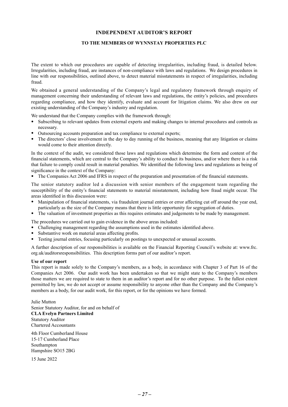#### **TO THE MEMBERS OF WYNNSTAY PROPERTIES PLC**

The extent to which our procedures are capable of detecting irregularities, including fraud, is detailed below. Irregularities, including fraud, are instances of non-compliance with laws and regulations. We design procedures in line with our responsibilities, outlined above, to detect material misstatements in respect of irregularities, including fraud.

We obtained a general understanding of the Company's legal and regulatory framework through enquiry of management concerning their understanding of relevant laws and regulations, the entity's policies, and procedures regarding compliance, and how they identify, evaluate and account for litigation claims. We also drew on our existing understanding of the Company's industry and regulation.

We understand that the Company complies with the framework through:

- Subscribing to relevant updates from external experts and making changes to internal procedures and controls as necessary.
- Outsourcing accounts preparation and tax compliance to external experts;
- The directors' close involvement in the day to day running of the business, meaning that any litigation or claims would come to their attention directly.

In the context of the audit, we considered those laws and regulations which determine the form and content of the financial statements, which are central to the Company's ability to conduct its business, and/or where there is a risk that failure to comply could result in material penalties. We identified the following laws and regulations as being of significance in the context of the Company:

• The Companies Act 2006 and IFRS in respect of the preparation and presentation of the financial statements.

The senior statutory auditor led a discussion with senior members of the engagement team regarding the susceptibility of the entity's financial statements to material misstatement, including how fraud might occur. The areas identified in this discussion were:

- Manipulation of financial statements, via fraudulent journal entries or error affecting cut off around the year end, particularly as the size of the Company means that there is little opportunity for segregation of duties.
- The valuation of investment properties as this requires estimates and judgements to be made by management.

The procedures we carried out to gain evidence in the above areas included:

- Challenging management regarding the assumptions used in the estimates identified above.
- Substantive work on material areas affecting profits.
- Testing journal entries, focusing particularly on postings to unexpected or unusual accounts.

A further description of our responsibilities is available on the Financial Reporting Council's website at: www.frc. org.uk/auditorsresponsibilities. This description forms part of our auditor's report.

#### **Use of our report**

This report is made solely to the Company's members, as a body, in accordance with Chapter 3 of Part 16 of the Companies Act 2006. Our audit work has been undertaken so that we might state to the Company's members those matters we are required to state to them in an auditor's report and for no other purpose. To the fullest extent permitted by law, we do not accept or assume responsibility to anyone other than the Company and the Company's members as a body, for our audit work, for this report, or for the opinions we have formed.

Julie Mutton Senior Statutory Auditor, for and on behalf of **CLA Evelyn Partners Limited**  Statutory Auditor Chartered Accountants

4th Floor Cumberland House 15-17 Cumberland Place Southampton Hampshire SO15 2BG

15 June 2022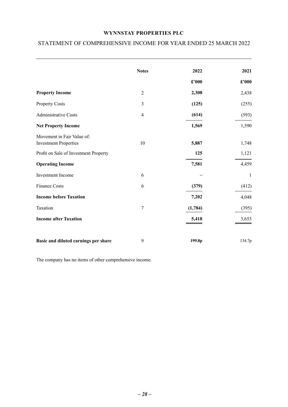## <span id="page-28-0"></span>STATEMENT OF COMPREHENSIVE INCOME FOR YEAR ENDED 25 MARCH 2022

|                                                            | <b>Notes</b>     | 2022    | 2021   |
|------------------------------------------------------------|------------------|---------|--------|
|                                                            |                  | £'000   | £'000  |
| <b>Property Income</b>                                     | $\overline{2}$   | 2,308   | 2,438  |
| <b>Property Costs</b>                                      | 3                | (125)   | (255)  |
| <b>Administrative Costs</b>                                | $\overline{4}$   | (614)   | (593)  |
| <b>Net Property Income</b>                                 |                  | 1,569   | 1,590  |
| Movement in Fair Value of:<br><b>Investment Properties</b> | 10               | 5,887   | 1,748  |
| Profit on Sale of Investment Property                      |                  | 125     | 1,121  |
| <b>Operating Income</b>                                    |                  | 7,581   | 4,459  |
| Investment Income                                          | 6                |         | 1      |
| <b>Finance Costs</b>                                       | 6                | (379)   | (412)  |
| <b>Income before Taxation</b>                              |                  | 7,202   | 4,048  |
| Taxation                                                   | $\boldsymbol{7}$ | (1,784) | (395)  |
| <b>Income after Taxation</b>                               |                  | 5,418   | 3,653  |
| Basic and diluted earnings per share                       | 9                | 199.8p  | 134.7p |

The company has no items of other comprehensive income.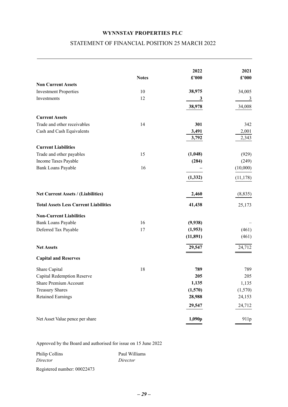## STATEMENT OF FINANCIAL POSITION 25 MARCH 2022

<span id="page-29-0"></span>

|                                              |              | 2022                    | 2021           |
|----------------------------------------------|--------------|-------------------------|----------------|
|                                              | <b>Notes</b> | £'000                   | £'000          |
| <b>Non Current Assets</b>                    |              |                         |                |
| <b>Investment Properties</b>                 | 10           | 38,975                  | 34,005         |
| Investments                                  | 12           | $\overline{\mathbf{3}}$ | $\overline{3}$ |
|                                              |              | 38,978                  | 34,008         |
| <b>Current Assets</b>                        |              |                         |                |
| Trade and other receivables                  | 14           | 301                     | 342            |
| Cash and Cash Equivalents                    |              | 3,491                   | 2,001          |
|                                              |              | 3,792                   | 2,343          |
| <b>Current Liabilities</b>                   |              |                         |                |
| Trade and other payables                     | 15           | (1,048)                 | (929)          |
| Income Taxes Payable                         |              | (284)                   | (249)          |
| <b>Bank Loans Payable</b>                    | 16           |                         | (10,000)       |
|                                              |              | (1, 332)                | (11, 178)      |
|                                              |              |                         |                |
| Net Current Assets / (Liabilities)           |              | 2,460                   | (8, 835)       |
| <b>Total Assets Less Current Liabilities</b> |              | 41,438                  | 25,173         |
| <b>Non-Current Liabilities</b>               |              |                         |                |
| Bank Loans Payable                           | 16           | (9,938)                 |                |
| Deferred Tax Payable                         | 17           | (1,953)                 | (461)          |
|                                              |              | (11, 891)               | (461)          |
| <b>Net Assets</b>                            |              | 29,547                  | 24,712         |
| <b>Capital and Reserves</b>                  |              |                         |                |
| Share Capital                                | 18           | 789                     | 789            |
| <b>Capital Redemption Reserve</b>            |              | 205                     | 205            |
| <b>Share Premium Account</b>                 |              | 1,135                   | 1,135          |
| <b>Treasury Shares</b>                       |              | (1,570)                 | (1,570)        |
| <b>Retained Earnings</b>                     |              | 28,988                  | 24,153         |
|                                              |              | 29,547                  | 24,712         |
| Net Asset Value pence per share              |              | 1,090p                  | 911p           |

Approved by the Board and authorised for issue on 15 June 2022

| Philip Collins              | Paul Williams |
|-----------------------------|---------------|
| Director                    | Director      |
| Registered number: 00022473 |               |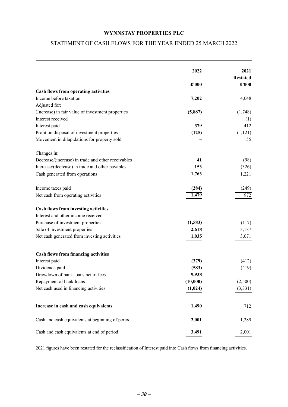## <span id="page-30-0"></span>STATEMENT OF CASH FLOWS FOR THE YEAR ENDED 25 MARCH 2022

|                                                    | 2022     | 2021<br><b>Restated</b> |
|----------------------------------------------------|----------|-------------------------|
|                                                    | £'000    | £'000                   |
| Cash flows from operating activities               |          |                         |
| Income before taxation                             | 7,202    | 4,048                   |
| Adjusted for:                                      |          |                         |
| (Increase) in fair value of investment properties  | (5,887)  | (1,748)                 |
| Interest received                                  |          | (1)                     |
| Interest paid                                      | 379      | 412                     |
| Profit on disposal of investment properties        | (125)    | (1,121)                 |
| Movement in dilapidations for property sold        |          | 55                      |
| Changes in:                                        |          |                         |
| Decrease/(increase) in trade and other receivables | 41       | (98)                    |
| Increase/(decrease) in trade and other payables    | 153      | (326)                   |
| Cash generated from operations                     | 1,763    | 1,221                   |
| Income taxes paid                                  | (284)    | (249)                   |
| Net cash from operating activities                 | 1,479    | 972                     |
| Cash flows from investing activities               |          |                         |
| Interest and other income received                 |          | 1                       |
| Purchase of investment properties                  | (1,583)  | (117)                   |
| Sale of investment properties                      | 2,618    | 3,187                   |
| Net cash generated from investing activities       | 1,035    | 3,071                   |
| <b>Cash flows from financing activities</b>        |          |                         |
| Interest paid                                      | (379)    | (412)                   |
| Dividends paid                                     | (583)    | (419)                   |
| Drawdown of bank loans net of fees                 | 9,938    |                         |
| Repayment of bank loans                            | (10,000) | (2,500)                 |
| Net cash used in financing activities              | (1,024)  | (3, 331)                |
|                                                    |          |                         |
| Increase in cash and cash equivalents              | 1,490    | 712                     |
| Cash and cash equivalents at beginning of period   | 2,001    | 1,289                   |
| Cash and cash equivalents at end of period         | 3,491    | 2,001                   |

2021 figures have been restated for the reclassification of Interest paid into Cash flows from financing activities.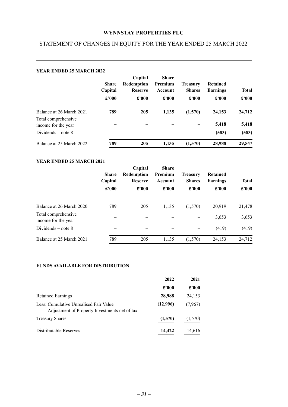## <span id="page-31-0"></span>STATEMENT OF CHANGES IN EQUITY FOR THE YEAR ENDED 25 MARCH 2022

## **YEAR ENDED 25 MARCH 2022**

|                                            | <b>Share</b><br>Capital<br>£'000 | Capital<br><b>Redemption</b><br><b>Reserve</b><br>£'000 | <b>Share</b><br>Premium<br>Account<br>£2000 | <b>Treasury</b><br><b>Shares</b><br>£2000 | <b>Retained</b><br>Earnings<br>£2000 | <b>Total</b><br>£'000 |
|--------------------------------------------|----------------------------------|---------------------------------------------------------|---------------------------------------------|-------------------------------------------|--------------------------------------|-----------------------|
| Balance at 26 March 2021                   | 789                              | 205                                                     | 1,135                                       | (1,570)                                   | 24,153                               | 24,712                |
| Total comprehensive<br>income for the year |                                  |                                                         |                                             |                                           | 5,418                                | 5,418                 |
| Dividends $-$ note 8                       |                                  |                                                         |                                             |                                           | (583)                                | (583)                 |
| Balance at 25 March 2022                   | 789                              | 205                                                     | 1,135                                       | (1,570)                                   | 28,988                               | 29,547                |

## **YEAR ENDED 25 MARCH 2021**

|                                            | <b>Share</b><br>Capital<br>$\pounds$ '000 | Capital<br>Redemption<br><b>Reserve</b><br>$\pounds$ '000 | <b>Share</b><br>Premium<br>Account<br>£'000 | <b>Treasury</b><br><b>Shares</b><br>£'000 | <b>Retained</b><br>Earnings<br>£2000 | <b>Total</b><br>£'000 |
|--------------------------------------------|-------------------------------------------|-----------------------------------------------------------|---------------------------------------------|-------------------------------------------|--------------------------------------|-----------------------|
| Balance at 26 March 2020                   | 789                                       | 205                                                       | 1,135                                       | (1,570)                                   | 20,919                               | 21,478                |
| Total comprehensive<br>income for the year |                                           |                                                           |                                             |                                           | 3,653                                | 3,653                 |
| Dividends $-$ note 8                       |                                           |                                                           |                                             |                                           | (419)                                | (419)                 |
| Balance at 25 March 2021                   | 789                                       | 205                                                       | 1,135                                       | (1,570)                                   | 24,153                               | 24,712                |

## **FUNDS AVAILABLE FOR DISTRIBUTION**

|                                                                                         | 2022           | 2021           |
|-----------------------------------------------------------------------------------------|----------------|----------------|
|                                                                                         | $\pounds$ '000 | $\pounds$ '000 |
| <b>Retained Earnings</b>                                                                | 28,988         | 24,153         |
| Less: Cumulative Unrealised Fair Value<br>Adjustment of Property Investments net of tax | (12,996)       | (7.967)        |
| <b>Treasury Shares</b>                                                                  | (1,570)        | (1,570)        |
| Distributable Reserves                                                                  | 14,422         | 14,616         |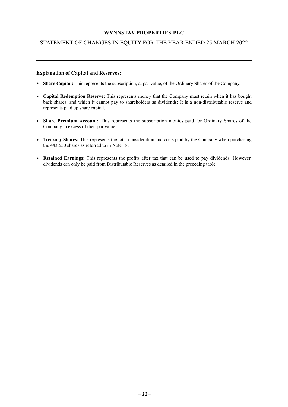## STATEMENT OF CHANGES IN EQUITY FOR THE YEAR ENDED 25 MARCH 2022

#### **Explanation of Capital and Reserves:**

- **Share Capital:** This represents the subscription, at par value, of the Ordinary Shares of the Company.
- **Capital Redemption Reserve:** This represents money that the Company must retain when it has bought back shares, and which it cannot pay to shareholders as dividends: It is a non-distributable reserve and represents paid up share capital.
- **Share Premium Account:** This represents the subscription monies paid for Ordinary Shares of the Company in excess of their par value.
- **Treasury Shares:** This represents the total consideration and costs paid by the Company when purchasing the 443,650 shares as referred to in Note 18.
- **Retained Earnings:** This represents the profits after tax that can be used to pay dividends. However, dividends can only be paid from Distributable Reserves as detailed in the preceding table.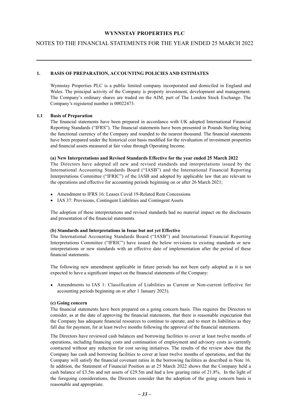## <span id="page-33-0"></span>NOTES TO THE FINANCIAL STATEMENTS FOR THE YEAR ENDED 25 MARCH 2022

#### **1. BASIS OF PREPARATION, ACCOUNTING POLICIES AND ESTIMATES**

Wynnstay Properties PLC is a public limited company incorporated and domiciled in England and Wales. The principal activity of the Company is property investment, development and management. The Company's ordinary shares are traded on the AIM, part of The London Stock Exchange. The Company's registered number is 00022473.

#### **1.1 Basis of Preparation**

The financial statements have been prepared in accordance with UK adopted International Financial Reporting Standards ("IFRS"). The financial statements have been presented in Pounds Sterling being the functional currency of the Company and rounded to the nearest thousand. The financial statements have been prepared under the historical cost basis modified for the revaluation of investment properties and financial assets measured at fair value through Operating Income.

#### **(a) New Interpretations and Revised Standards Effective for the year ended 25 March 2022**

The Directors have adopted all new and revised standards and interpretations issued by the International Accounting Standards Board ("IASB") and the International Financial Reporting Interpretations Committee ("IFRIC") of the IASB and adopted by applicable law that are relevant to the operations and effective for accounting periods beginning on or after 26 March 2021;

- Amendment to IFRS 16: Leases Covid 19-Related Rent Concessions
- IAS 37: Provisions, Contingent Liabilities and Contingent Assets

The adoption of these interpretations and revised standards had no material impact on the disclosures and presentation of the financial statements.

#### **(b) Standards and Interpretations in Issue but not yet Effective**

The International Accounting Standards Board ("IASB") and International Financial Reporting Interpretations Committee ("IFRIC") have issued the below revisions to existing standards or new interpretations or new standards with an effective date of implementation after the period of these financial statements.

The following new amendment applicable in future periods has not been early adopted as it is not expected to have a significant impact on the financial statements of the Company:

• Amendments to IAS 1: Classification of Liabilities as Current or Non-current (effective for accounting periods beginning on or after 1 January 2023).

#### **(c) Going concern**

The financial statements have been prepared on a going concern basis. This requires the Directors to consider, as at the date of approving the financial statements, that there is reasonable expectation that the Company has adequate financial resources to continue to operate, and to meet its liabilities as they fall due for payment, for at least twelve months following the approval of the financial statements.

The Directors have reviewed cash balances and borrowing facilities to cover at least twelve months of operations, including financing costs and continuation of employment and advisory costs as currently contracted without any reduction for cost saving initiatives. The results of the review show that the Company has cash and borrowing facilities to cover at least twelve months of operations, and that the Company will satisfy the financial covenant ratios in the borrowing facilities as described in Note 16. In addition, the Statement of Financial Position as at 25 March 2022 shows that the Company held a cash balance of £3.5m and net assets of £29.5m and had a low gearing ratio of 21.8%. In the light of the foregoing considerations, the Directors consider that the adoption of the going concern basis is reasonable and appropriate.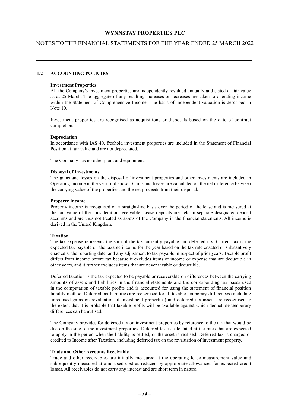## NOTES TO THE FINANCIAL STATEMENTS FOR THE YEAR ENDED 25 MARCH 2022

#### **1.2 ACCOUNTING POLICIES**

#### **Investment Properties**

All the Company's investment properties are independently revalued annually and stated at fair value as at 25 March. The aggregate of any resulting increases or decreases are taken to operating income within the Statement of Comprehensive Income. The basis of independent valuation is described in Note 10.

Investment properties are recognised as acquisitions or disposals based on the date of contract completion.

#### **Depreciation**

In accordance with IAS 40, freehold investment properties are included in the Statement of Financial Position at fair value and are not depreciated.

The Company has no other plant and equipment.

#### **Disposal of Investments**

The gains and losses on the disposal of investment properties and other investments are included in Operating Income in the year of disposal. Gains and losses are calculated on the net difference between the carrying value of the properties and the net proceeds from their disposal.

#### **Property Income**

Property income is recognised on a straight-line basis over the period of the lease and is measured at the fair value of the consideration receivable. Lease deposits are held in separate designated deposit accounts and are thus not treated as assets of the Company in the financial statements. All income is derived in the United Kingdom.

#### **Taxation**

The tax expense represents the sum of the tax currently payable and deferred tax. Current tax is the expected tax payable on the taxable income for the year based on the tax rate enacted or substantively enacted at the reporting date, and any adjustment to tax payable in respect of prior years. Taxable profit differs from income before tax because it excludes items of income or expense that are deductible in other years, and it further excludes items that are never taxable or deductible.

Deferred taxation is the tax expected to be payable or recoverable on differences between the carrying amounts of assets and liabilities in the financial statements and the corresponding tax bases used in the computation of taxable profits and is accounted for using the statement of financial position liability method. Deferred tax liabilities are recognised for all taxable temporary differences (including unrealised gains on revaluation of investment properties) and deferred tax assets are recognised to the extent that it is probable that taxable profits will be available against which deductible temporary differences can be utilised.

The Company provides for deferred tax on investment properties by reference to the tax that would be due on the sale of the investment properties. Deferred tax is calculated at the rates that are expected to apply in the period when the liability is settled, or the asset is realised. Deferred tax is charged or credited to Income after Taxation, including deferred tax on the revaluation of investment property.

#### **Trade and Other Accounts Receivable**

Trade and other receivables are initially measured at the operating lease measurement value and subsequently measured at amortised cost as reduced by appropriate allowances for expected credit losses. All receivables do not carry any interest and are short term in nature.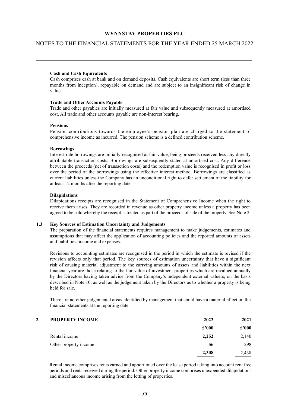## NOTES TO THE FINANCIAL STATEMENTS FOR THE YEAR ENDED 25 MARCH 2022

#### **Cash and Cash Equivalents**

Cash comprises cash at bank and on demand deposits. Cash equivalents are short term (less than three months from inception), repayable on demand and are subject to an insignificant risk of change in value.

#### **Trade and Other Accounts Payable**

Trade and other payables are initially measured at fair value and subsequently measured at amortised cost. All trade and other accounts payable are non-interest bearing.

#### **Pensions**

Pension contributions towards the employee's pension plan are charged to the statement of comprehensive income as incurred. The pension scheme is a defined contribution scheme.

#### **Borrowings**

Interest rate borrowings are initially recognised at fair value, being proceeds received less any directly attributable transaction costs. Borrowings are subsequently stated at amortised cost. Any difference between the proceeds (net of transaction costs) and the redemption value is recognised in profit or loss over the period of the borrowings using the effective interest method. Borrowings are classified as current liabilities unless the Company has an unconditional right to defer settlement of the liability for at least 12 months after the reporting date.

#### **Dilapidations**

Dilapidations receipts are recognised in the Statement of Comprehensive Income when the right to receive them arises. They are recorded in revenue as other property income unless a property has been agreed to be sold whereby the receipt is treated as part of the proceeds of sale of the property. See Note 2.

#### **1.3 Key Sources of Estimation Uncertainty and Judgements**

The preparation of the financial statements requires management to make judgements, estimates and assumptions that may affect the application of accounting policies and the reported amounts of assets and liabilities, income and expenses.

Revisions to accounting estimates are recognised in the period in which the estimate is revised if the revision affects only that period. The key sources of estimation uncertainty that have a significant risk of causing material adjustment to the carrying amounts of assets and liabilities within the next financial year are those relating to the fair value of investment properties which are revalued annually by the Directors having taken advice from the Company's independent external valuers, on the basis described in Note 10, as well as the judgement taken by the Directors as to whether a property is being held for sale.

There are no other judgemental areas identified by management that could have a material effect on the financial statements at the reporting date.

| $\overline{2}$ . | <b>PROPERTY INCOME</b> | 2022           | 2021           |
|------------------|------------------------|----------------|----------------|
|                  |                        | $\pounds$ '000 | $\pounds$ '000 |
|                  | Rental income          | 2,252          | 2,140          |
|                  | Other property income  | 56             | 298            |
|                  |                        | 2,308          | 2,438          |

Rental income comprises rents earned and apportioned over the lease period taking into account rent free periods and rents received during the period. Other property income comprises unexpended dilapidations and miscellaneous income arising from the letting of properties.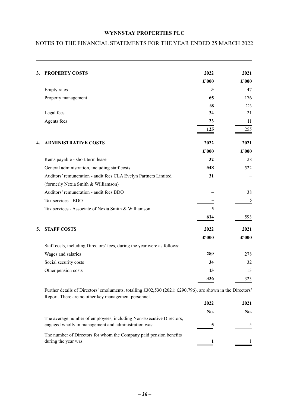## NOTES TO THE FINANCIAL STATEMENTS FOR THE YEAR ENDED 25 MARCH 2022

| 3. | <b>PROPERTY COSTS</b>                                                                                                                                              | 2022  | 2021           |
|----|--------------------------------------------------------------------------------------------------------------------------------------------------------------------|-------|----------------|
|    |                                                                                                                                                                    | £'000 | £'000          |
|    | <b>Empty</b> rates                                                                                                                                                 | 3     | 47             |
|    | Property management                                                                                                                                                | 65    | 176            |
|    |                                                                                                                                                                    | 68    | 223            |
|    | Legal fees                                                                                                                                                         | 34    | 21             |
|    | Agents fees                                                                                                                                                        | 23    | 11             |
|    |                                                                                                                                                                    | 125   | 255            |
| 4. | <b>ADMINISTRATIVE COSTS</b>                                                                                                                                        | 2022  | 2021           |
|    |                                                                                                                                                                    | £'000 | £'000          |
|    | Rents payable - short term lease                                                                                                                                   | 32    | 28             |
|    | General administration, including staff costs                                                                                                                      | 548   | 522            |
|    | Auditors' remuneration - audit fees CLA Evelyn Partners Limited                                                                                                    | 31    |                |
|    | (formerly Nexia Smith & Williamson)                                                                                                                                |       |                |
|    | Auditors' remuneration - audit fees BDO                                                                                                                            |       | 38             |
|    | Tax services - BDO                                                                                                                                                 |       | 5              |
|    | Tax services - Associate of Nexia Smith & Williamson                                                                                                               | 3     |                |
|    |                                                                                                                                                                    | 614   | 593            |
| 5. | <b>STAFF COSTS</b>                                                                                                                                                 | 2022  | 2021           |
|    |                                                                                                                                                                    | £'000 | $\pounds$ '000 |
|    | Staff costs, including Directors' fees, during the year were as follows:                                                                                           |       |                |
|    | Wages and salaries                                                                                                                                                 | 289   | 278            |
|    | Social security costs                                                                                                                                              | 34    | 32             |
|    | Other pension costs                                                                                                                                                | 13    | 13             |
|    |                                                                                                                                                                    | 336   | 323            |
|    | Further details of Directors' emoluments, totalling £302,530 (2021: £290,796), are shown in the Directors'<br>Report. There are no other key management personnel. |       |                |
|    |                                                                                                                                                                    | 2022  | 2021           |
|    |                                                                                                                                                                    | No.   | No.            |
|    | The average number of employees, including Non-Executive Directors,<br>engaged wholly in management and administration was:                                        | 5     | 5              |
|    | The number of Directors for whom the Company paid pension benefits<br>during the year was                                                                          | 1     |                |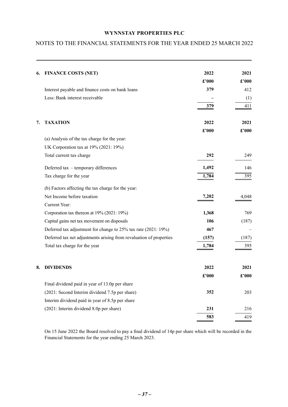## NOTES TO THE FINANCIAL STATEMENTS FOR THE YEAR ENDED 25 MARCH 2022

| 6. | <b>FINANCE COSTS (NET)</b>                                          | 2022                                           | 2021                          |
|----|---------------------------------------------------------------------|------------------------------------------------|-------------------------------|
|    |                                                                     | $\pmb{\pounds}^{\bullet}\pmb{0}\pmb{0}\pmb{0}$ | £'000                         |
|    | Interest payable and finance costs on bank loans                    | 379                                            | 412                           |
|    | Less: Bank interest receivable                                      |                                                | (1)                           |
|    |                                                                     | 379                                            | 411                           |
| 7. | <b>TAXATION</b>                                                     | 2022                                           | 2021                          |
|    |                                                                     | £'000                                          | $\pounds$ '000                |
|    | (a) Analysis of the tax charge for the year:                        |                                                |                               |
|    | UK Corporation tax at 19% (2021: 19%)                               |                                                |                               |
|    | Total current tax charge                                            | 292                                            | 249                           |
|    | Deferred tax - temporary differences                                | 1,492                                          | 146                           |
|    | Tax charge for the year                                             | 1,784                                          | 395                           |
|    | (b) Factors affecting the tax charge for the year:                  |                                                |                               |
|    | Net Income before taxation                                          | 7,202                                          | 4,048                         |
|    | Current Year:                                                       |                                                |                               |
|    | Corporation tax thereon at 19% (2021: 19%)                          | 1,368                                          | 769                           |
|    | Capital gains net tax movement on disposals                         | 106                                            | (187)                         |
|    | Deferred tax adjustment for change to 25% tax rate (2021: 19%)      | 467                                            |                               |
|    | Deferred tax net adjustments arising from revaluation of properties | (157)                                          | (187)                         |
|    | Total tax charge for the year                                       | 1,784                                          | 395                           |
|    |                                                                     |                                                |                               |
| 8. | <b>DIVIDENDS</b>                                                    | 2022                                           | 2021                          |
|    |                                                                     | $\pounds$ '000                                 | $\pmb{\pounds}^{\,\prime}000$ |
|    | Final dividend paid in year of 13.0p per share                      |                                                |                               |
|    | (2021: Second Interim dividend 7.5p per share)                      | 352                                            | 203                           |
|    | Interim dividend paid in year of 8.5p per share                     |                                                |                               |
|    | (2021: Interim dividend 8.0p per share)                             | 231                                            | 216                           |
|    |                                                                     | 583                                            | 419                           |

On 15 June 2022 the Board resolved to pay a final dividend of 14p per share which will be recorded in the Financial Statements for the year ending 25 March 2023.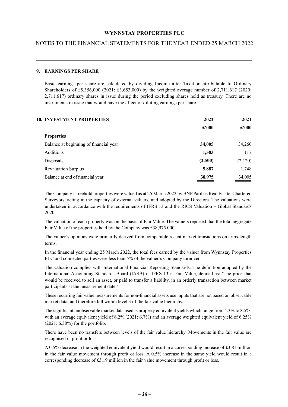## NOTES TO THE FINANCIAL STATEMENTS FOR THE YEAR ENDED 25 MARCH 2022

## **9. EARNINGS PER SHARE**

Basic earnings per share are calculated by dividing Income after Taxation attributable to Ordinary Shareholders of £5,356,000 (2021: £3,653,000) by the weighted average number of 2,711,617 (2020: 2,711,617) ordinary shares in issue during the period excluding shares held as treasury. There are no instruments in issue that would have the effect of diluting earnings per share.

| <b>10. INVESTMENT PROPERTIES</b>       | 2022    | 2021    |
|----------------------------------------|---------|---------|
|                                        | £2000   | £'000   |
| <b>Properties</b>                      |         |         |
| Balance at beginning of financial year | 34,005  | 34,260  |
| Additions                              | 1,583   | 117     |
| Disposals                              | (2,500) | (2,120) |
| <b>Revaluation Surplus</b>             | 5,887   | 1,748   |
| Balance at end of financial year       | 38,975  | 34,005  |

The Company's freehold properties were valued as at 25 March 2022 by BNP Paribas Real Estate, Chartered Surveyors, acting in the capacity of external valuers, and adopted by the Directors. The valuations were undertaken in accordance with the requirements of IFRS 13 and the RICS Valuation – Global Standards 2020.

The valuation of each property was on the basis of Fair Value. The valuers reported that the total aggregate Fair Value of the properties held by the Company was £38,975,000.

The valuer's opinions were primarily derived from comparable recent market transactions on arms-length terms.

In the financial year ending 25 March 2022, the total fees earned by the valuer from Wynnstay Properties PLC and connected parties were less than 5% of the valuer's Company turnover.

The valuation complies with International Financial Reporting Standards. The definition adopted by the International Accounting Standards Board (IASB) in IFRS 13 is Fair Value, defined as: 'The price that would be received to sell an asset, or paid to transfer a liability, in an orderly transaction between market participants at the measurement date.'

These recurring fair value measurements for non-financial assets use inputs that are not based on observable market data, and therefore fall within level 3 of the fair value hierarchy.

The significant unobservable market data used is property equivalent yields which range from 4.3% to 8.5%, with an average equivalent yield of 6.2% (2021: 6.7%) and an average weighted equivalent yield of 6.25% (2021: 6.38%) for the portfolio.

There have been no transfers between levels of the fair value hierarchy. Movements in the fair value are recognised in profit or loss.

A 0.5% decrease in the weighted equivalent yield would result in a corresponding increase of £3.81 million in the fair value movement through profit or loss. A 0.5% increase in the same yield would result in a corresponding decrease of  $£3.19$  million in the fair value movement through profit or loss.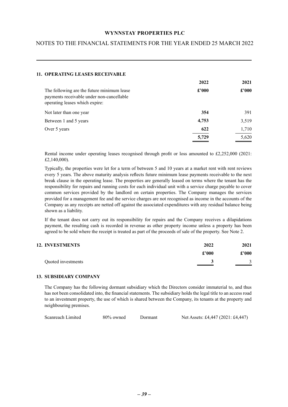## NOTES TO THE FINANCIAL STATEMENTS FOR THE YEAR ENDED 25 MARCH 2022

| <b>11. OPERATING LEASES RECEIVABLE</b>                                                                                    |       |       |
|---------------------------------------------------------------------------------------------------------------------------|-------|-------|
|                                                                                                                           | 2022  | 2021  |
| The following are the future minimum lease<br>payments receivable under non-cancellable<br>operating leases which expire: | £2000 | £'000 |
| Not later than one year                                                                                                   | 354   | 391   |
| Between 1 and 5 years                                                                                                     | 4,753 | 3,519 |
| Over 5 years                                                                                                              | 622   | 1,710 |
|                                                                                                                           | 5,729 | 5,620 |

Rental income under operating leases recognised through profit or loss amounted to £2,252,000 (2021: £2,140,000).

Typically, the properties were let for a term of between 5 and 10 years at a market rent with rent reviews every 5 years. The above maturity analysis reflects future minimum lease payments receivable to the next break clause in the operating lease. The properties are generally leased on terms where the tenant has the responsibility for repairs and running costs for each individual unit with a service charge payable to cover common services provided by the landlord on certain properties. The Company manages the services provided for a management fee and the service charges are not recognised as income in the accounts of the Company as any receipts are netted off against the associated expenditures with any residual balance being shown as a liability.

If the tenant does not carry out its responsibility for repairs and the Company receives a dilapidations payment, the resulting cash is recorded in revenue as other property income unless a property has been agreed to be sold where the receipt is treated as part of the proceeds of sale of the property. See Note 2.

| <b>12. INVESTMENTS</b> | 2022  | 2021           |
|------------------------|-------|----------------|
|                        | £'000 | $\pounds$ '000 |
| Quoted investments     |       |                |

#### **13. SUBSIDIARY COMPANY**

The Company has the following dormant subsidiary which the Directors consider immaterial to, and thus has not been consolidated into, the financial statements. The subsidiary holds the legal title to an access road to an investment property, the use of which is shared between the Company, its tenants at the property and neighbouring premises.

| Scanreach Limited | $80\%$ owned | Dormant | Net Assets: £4,447 (2021: £4,447) |
|-------------------|--------------|---------|-----------------------------------|
|-------------------|--------------|---------|-----------------------------------|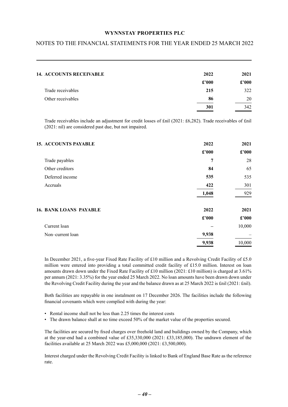## NOTES TO THE FINANCIAL STATEMENTS FOR THE YEAR ENDED 25 MARCH 2022

| <b>14. ACCOUNTS RECEIVABLE</b> | 2022  | 2021           |
|--------------------------------|-------|----------------|
|                                | £'000 | $\pounds$ '000 |
| Trade receivables              | 215   | 322            |
| Other receivables              | 86    | 20             |
|                                | 301   | 342            |

Trade receivables include an adjustment for credit losses of £nil (2021: £6,282). Trade receivables of £nil (2021: nil) are considered past due, but not impaired.

| <b>15. ACCOUNTS PAYABLE</b>   | 2022  | 2021           |
|-------------------------------|-------|----------------|
|                               | £'000 | $\pounds$ '000 |
| Trade payables                | 7     | 28             |
| Other creditors               | 84    | 65             |
| Deferred income               | 535   | 535            |
| Accruals                      | 422   | 301            |
|                               | 1,048 | 929            |
| <b>16. BANK LOANS PAYABLE</b> | 2022  | 2021           |
|                               | £'000 | $\pounds$ '000 |
| Current loan                  |       | 10,000         |
| Non-current loan              | 9,938 |                |
|                               | 9,938 | 10,000         |

In December 2021, a five-year Fixed Rate Facility of £10 million and a Revolving Credit Facility of £5.0 million were entered into providing a total committed credit facility of £15.0 million. Interest on loan amounts drawn down under the Fixed Rate Facility of £10 million (2021: £10 million) is charged at 3.61% per annum (2021: 3.35%) for the year ended 25 March 2022. No loan amounts have been drawn down under the Revolving Credit Facility during the year and the balance drawn as at 25 March 2022 is £nil (2021: £nil).

Both facilities are repayable in one instalment on 17 December 2026. The facilities include the following financial covenants which were complied with during the year:

- Rental income shall not be less than 2.25 times the interest costs
- The drawn balance shall at no time exceed 50% of the market value of the properties secured.

The facilities are secured by fixed charges over freehold land and buildings owned by the Company, which at the year-end had a combined value of £35,330,000 (2021: £33,185,000). The undrawn element of the facilities available at 25 March 2022 was £5,000,000 (2021: £3,500,000).

Interest charged under the Revolving Credit Facility is linked to Bank of England Base Rate as the reference rate.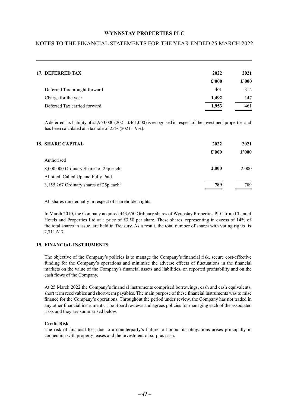## NOTES TO THE FINANCIAL STATEMENTS FOR THE YEAR ENDED 25 MARCH 2022

| 17. DEFERRED TAX             | 2022  | 2021           |
|------------------------------|-------|----------------|
|                              | £'000 | $\pounds$ '000 |
| Deferred Tax brought forward | 461   | 314            |
| Charge for the year          | 1.492 | 147            |
| Deferred Tax carried forward | 1,953 | 461            |

A deferred tax liability of £1,953,000 (2021: £461,000) is recognised in respect of the investment properties and has been calculated at a tax rate of 25% (2021: 19%).

| 2022  | 2021  |
|-------|-------|
| £2000 | £2000 |
|       |       |
| 2.000 | 2,000 |
|       |       |
| 789   | 789   |
|       |       |

All shares rank equally in respect of shareholder rights.

In March 2010, the Company acquired 443,650 Ordinary shares of Wynnstay Properties PLC from Channel Hotels and Properties Ltd at a price of £3.50 per share. These shares, representing in excess of 14% of the total shares in issue, are held in Treasury. As a result, the total number of shares with voting rights is 2,711,617.

#### **19. FINANCIAL INSTRUMENTS**

The objective of the Company's policies is to manage the Company's financial risk, secure cost-effective funding for the Company's operations and minimise the adverse effects of fluctuations in the financial markets on the value of the Company's financial assets and liabilities, on reported profitability and on the cash flows of the Company.

At 25 March 2022 the Company's financial instruments comprised borrowings, cash and cash equivalents, short term receivables and short-term payables. The main purpose of these financial instruments was to raise finance for the Company's operations. Throughout the period under review, the Company has not traded in any other financial instruments. The Board reviews and agrees policies for managing each of the associated risks and they are summarised below:

## **Credit Risk**

The risk of financial loss due to a counterparty's failure to honour its obligations arises principally in connection with property leases and the investment of surplus cash.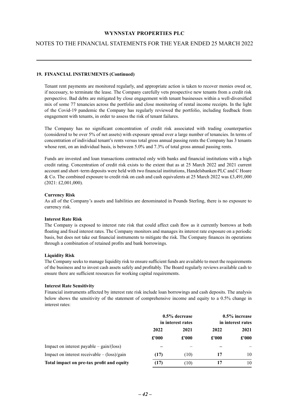## NOTES TO THE FINANCIAL STATEMENTS FOR THE YEAR ENDED 25 MARCH 2022

#### **19. FINANCIAL INSTRUMENTS (Continued)**

Tenant rent payments are monitored regularly, and appropriate action is taken to recover monies owed or, if necessary, to terminate the lease. The Company carefully vets prospective new tenants from a credit risk perspective. Bad debts are mitigated by close engagement with tenant businesses within a well-diversified mix of some 77 tenancies across the portfolio and close monitoring of rental income receipts. In the light of the Covid-19 pandemic the Company has regularly reviewed the portfolio, including feedback from engagement with tenants, in order to assess the risk of tenant failures.

The Company has no significant concentration of credit risk associated with trading counterparties (considered to be over 5% of net assets) with exposure spread over a large number of tenancies. In terms of concentration of individual tenant's rents versus total gross annual passing rents the Company has 3 tenants whose rent, on an individual basis, is between 5.0% and 7.3% of total gross annual passing rents.

Funds are invested and loan transactions contracted only with banks and financial institutions with a high credit rating. Concentration of credit risk exists to the extent that as at 25 March 2022 and 2021 current account and short–term deposits were held with two financial institutions, Handelsbanken PLC and C Hoare & Co. The combined exposure to credit risk on cash and cash equivalents at 25 March 2022 was £3,491,000 (2021: £2,001,000).

#### **Currency Risk**

As all of the Company's assets and liabilities are denominated in Pounds Sterling, there is no exposure to currency risk.

#### **Interest Rate Risk**

The Company is exposed to interest rate risk that could affect cash flow as it currently borrows at both floating and fixed interest rates. The Company monitors and manages its interest rate exposure on a periodic basis, but does not take out financial instruments to mitigate the risk. The Company finances its operations through a combination of retained profits and bank borrowings.

#### **Liquidity Risk**

The Company seeks to manage liquidity risk to ensure sufficient funds are available to meet the requirements of the business and to invest cash assets safely and profitably. The Board regularly reviews available cash to ensure there are sufficient resources for working capital requirements.

#### **Interest Rate Sensitivity**

Financial instruments affected by interest rate risk include loan borrowings and cash deposits. The analysis below shows the sensitivity of the statement of comprehensive income and equity to a 0.5% change in interest rates:

|                                                            | $0.5\%$ decrease<br>in interest rates |       | $0.5\%$ increase<br>in interest rates |       |  |  |  |  |      |      |      |
|------------------------------------------------------------|---------------------------------------|-------|---------------------------------------|-------|--|--|--|--|------|------|------|
|                                                            | 2022                                  |       |                                       |       |  |  |  |  | 2021 | 2022 | 2021 |
|                                                            | £'000                                 | £'000 | £'000                                 | £'000 |  |  |  |  |      |      |      |
| Impact on interest payable $-\text{gain}/(\text{loss})$    |                                       |       |                                       |       |  |  |  |  |      |      |      |
| Impact on interest receivable $-(\text{loss})/\text{gain}$ | (17)                                  | (10)  | 17                                    | 10    |  |  |  |  |      |      |      |
| Total impact on pre-tax profit and equity                  | (17)                                  | (10)  | 17                                    | 10    |  |  |  |  |      |      |      |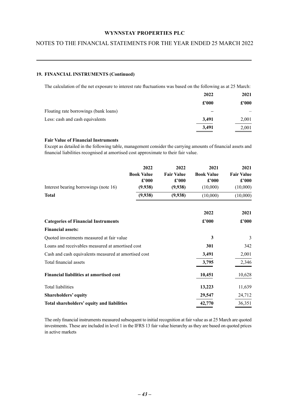## NOTES TO THE FINANCIAL STATEMENTS FOR THE YEAR ENDED 25 MARCH 2022

## **19. FINANCIAL INSTRUMENTS (Continued)**

The calculation of the net exposure to interest rate fluctuations was based on the following as at 25 March:

|                                       | 2022  | 2021          |
|---------------------------------------|-------|---------------|
|                                       | £'000 | $\pounds 000$ |
| Floating rate borrowings (bank loans) |       |               |
| Less: cash and cash equivalents       | 3,491 | 2,001         |
|                                       | 3,491 | 2,001         |

#### **Fair Value of Financial Instruments**

Except as detailed in the following table, management consider the carrying amounts of financial assets and financial liabilities recognised at amortised cost approximate to their fair value.

| Interest bearing borrowings (note 16)<br><b>Total</b> | 2022<br><b>Book Value</b><br>£'000<br>(9.938)<br>(9,938) | 2022<br><b>Fair Value</b><br>£'000<br>(9,938)<br>(9,938) | 2021<br><b>Book Value</b><br>£2000<br>(10,000)<br>(10,000) | 2021<br><b>Fair Value</b><br>$\pounds$ '000<br>(10,000)<br>(10,000) |
|-------------------------------------------------------|----------------------------------------------------------|----------------------------------------------------------|------------------------------------------------------------|---------------------------------------------------------------------|
|                                                       |                                                          |                                                          | 2022                                                       | 2021                                                                |
| <b>Categories of Financial Instruments</b>            |                                                          |                                                          | £'000                                                      | $\pounds$ '000                                                      |
| <b>Financial assets:</b>                              |                                                          |                                                          |                                                            |                                                                     |
| Quoted investments measured at fair value             |                                                          |                                                          | 3                                                          | 3                                                                   |
| Loans and receivables measured at amortised cost      |                                                          |                                                          | 301                                                        | 342                                                                 |
| Cash and cash equivalents measured at amortised cost  |                                                          |                                                          | 3,491                                                      | 2,001                                                               |
| Total financial assets                                |                                                          |                                                          | 3,795                                                      | 2,346                                                               |
| Financial liabilities at amortised cost               |                                                          |                                                          | 10,451                                                     | 10,628                                                              |
| <b>Total liabilities</b>                              |                                                          |                                                          | 13,223                                                     | 11,639                                                              |
| Shareholders' equity                                  |                                                          |                                                          | 29,547                                                     | 24,712                                                              |
| Total shareholders' equity and liabilities            |                                                          |                                                          | 42,770                                                     | 36,351                                                              |

The only financial instruments measured subsequent to initial recognition at fair value as at 25 March are quoted investments. These are included in level 1 in the IFRS 13 fair value hierarchy as they are based on quoted prices in active markets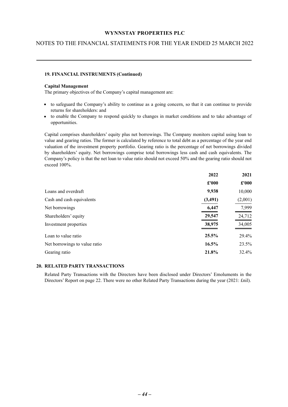## NOTES TO THE FINANCIAL STATEMENTS FOR THE YEAR ENDED 25 MARCH 2022

#### **19. FINANCIAL INSTRUMENTS (Continued)**

#### **Capital Management**

The primary objectives of the Company's capital management are:

- to safeguard the Company's ability to continue as a going concern, so that it can continue to provide returns for shareholders: and
- to enable the Company to respond quickly to changes in market conditions and to take advantage of opportunities.

Capital comprises shareholders' equity plus net borrowings. The Company monitors capital using loan to value and gearing ratios. The former is calculated by reference to total debt as a percentage of the year end valuation of the investment property portfolio. Gearing ratio is the percentage of net borrowings divided by shareholders' equity. Net borrowings comprise total borrowings less cash and cash equivalents. The Company's policy is that the net loan to value ratio should not exceed 50% and the gearing ratio should not exceed 100%.

|                               | 2022     | 2021    |
|-------------------------------|----------|---------|
|                               | £'000    | £'000   |
| Loans and overdraft           | 9,938    | 10,000  |
| Cash and cash equivalents     | (3, 491) | (2,001) |
| Net borrowings                | 6,447    | 7,999   |
| Shareholders' equity          | 29,547   | 24,712  |
| Investment properties         | 38,975   | 34,005  |
| Loan to value ratio           | 25.5%    | 29.4%   |
| Net borrowings to value ratio | $16.5\%$ | 23.5%   |
| Gearing ratio                 | 21.8%    | 32.4%   |
|                               |          |         |

#### **20. RELATED PARTY TRANSACTIONS**

Related Party Transactions with the Directors have been disclosed under Directors' Emoluments in the Directors' Report on page 22. There were no other Related Party Transactions during the year (2021: £nil).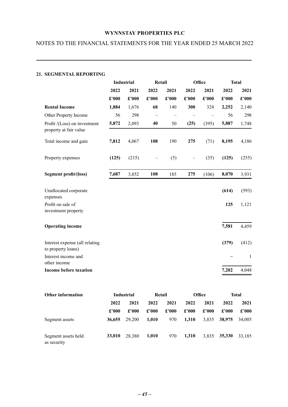## NOTES TO THE FINANCIAL STATEMENTS FOR THE YEAR ENDED 25 MARCH 2022

## **21. SEGMENTAL REPORTING**

|                                                        |       | Industrial | Retail |       | Office |       | <b>Total</b> |       |
|--------------------------------------------------------|-------|------------|--------|-------|--------|-------|--------------|-------|
|                                                        | 2022  | 2021       | 2022   | 2021  | 2022   | 2021  | 2022         | 2021  |
|                                                        | £'000 | £'000      | £'000  | £'000 | £'000  | £'000 | £'000        | £'000 |
| <b>Rental Income</b>                                   | 1,884 | 1,676      | 68     | 140   | 300    | 324   | 2,252        | 2,140 |
| Other Property Income                                  | 56    | 298        |        |       |        |       | 56           | 298   |
| Profit /(Loss) on investment<br>property at fair value | 5,872 | 2,093      | 40     | 50    | (25)   | (395) | 5,887        | 1,748 |
| Total income and gain                                  | 7,812 | 4,067      | 108    | 190   | 275    | (71)  | 8,195        | 4,186 |
| Property expenses                                      | (125) | (215)      |        | (5)   |        | (35)  | (125)        | (255) |
| Segment profit/(loss)                                  | 7,687 | 3,852      | 108    | 185   | 275    | (106) | 8,070        | 3,931 |
| Unallocated corporate<br>expenses                      |       |            |        |       |        |       | (614)        | (593) |
| Profit on sale of<br>investment property               |       |            |        |       |        |       | 125          | 1,121 |
| <b>Operating income</b>                                |       |            |        |       |        |       | 7,581        | 4,459 |
| Interest expense (all relating<br>to property loans)   |       |            |        |       |        |       | (379)        | (412) |
| Interest income and<br>other income                    |       |            |        |       |        |       |              | 1     |
| <b>Income before taxation</b>                          |       |            |        |       |        |       | 7,202        | 4,048 |

| <b>Other information</b>           |        | Industrial |       | Retail |       | <b>Office</b> |        | <b>Total</b> |  |
|------------------------------------|--------|------------|-------|--------|-------|---------------|--------|--------------|--|
|                                    | 2022   | 2021       | 2022  | 2021   | 2022  | 2021          | 2022   | 2021         |  |
|                                    | £'000  | £'000      | £'000 | £'000  | £'000 | £'000         | £'000  | £'000        |  |
| Segment assets                     | 36,655 | 29,200     | 1,010 | 970    | 1,310 | 3,835         | 38,975 | 34,005       |  |
| Segment assets held<br>as security | 33,010 | 28.380     | 1,010 | 970    | 1,310 | 3,835         | 35,330 | 33.185       |  |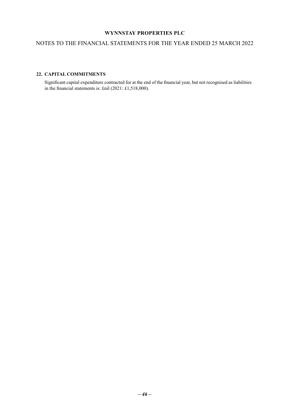## NOTES TO THE FINANCIAL STATEMENTS FOR THE YEAR ENDED 25 MARCH 2022

## **22. CAPITAL COMMITMENTS**

Significant capital expenditure contracted for at the end of the financial year, but not recognised as liabilities in the financial statements is: £nil (2021: £1,518,000).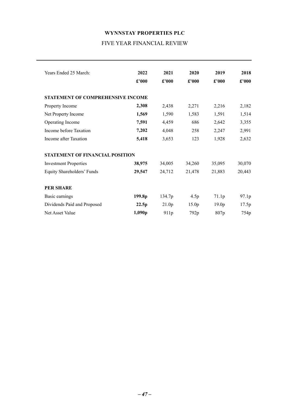## **WYNNSTAY PROPERTIES PLC** FIVE YEAR FINANCIAL REVIEW

<span id="page-47-0"></span>

| Years Ended 25 March:                    | 2022               | 2021              | 2020                 | 2019              | 2018             |
|------------------------------------------|--------------------|-------------------|----------------------|-------------------|------------------|
|                                          | £'000              | £'000             | $\pmb{\pounds}$ '000 | £'000             | £'000            |
| <b>STATEMENT OF COMPREHENSIVE INCOME</b> |                    |                   |                      |                   |                  |
| Property Income                          | 2,308              | 2,438             | 2,271                | 2,216             | 2,182            |
| Net Property Income                      | 1,569              | 1,590             | 1,583                | 1,591             | 1,514            |
| Operating Income                         | 7,591              | 4,459             | 686                  | 2,642             | 3,355            |
| Income before Taxation                   | 7,202              | 4,048             | 258                  | 2,247             | 2,991            |
| Income after Taxation                    | 5,418              | 3,653             | 123                  | 1,928             | 2,632            |
| <b>STATEMENT OF FINANCIAL POSITION</b>   |                    |                   |                      |                   |                  |
| <b>Investment Properties</b>             | 38,975             | 34,005            | 34,260               | 35,095            | 30,070           |
| Equity Shareholders' Funds               | 29,547             | 24,712            | 21,478               | 21,883            | 20,443           |
| <b>PER SHARE</b>                         |                    |                   |                      |                   |                  |
| Basic earnings                           | 199.8 <sub>p</sub> | 134.7p            | 4.5p                 | 71.1p             | 97.1p            |
| Dividends Paid and Proposed              | 22.5p              | 21.0 <sub>p</sub> | 15.0 <sub>p</sub>    | 19.0 <sub>p</sub> | 17.5p            |
| Net Asset Value                          | 1,090p             | 911p              | 792p                 | 807 <sub>p</sub>  | 754 <sub>p</sub> |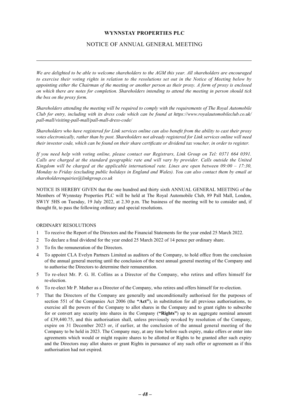## NOTICE OF ANNUAL GENERAL MEETING

<span id="page-48-0"></span>*We are delighted to be able to welcome shareholders to the AGM this year. All shareholders are encouraged to exercise their voting rights in relation to the resolutions set out in the Notice of Meeting below by appointing either the Chairman of the meeting or another person as their proxy. A form of proxy is enclosed on which there are notes for completion. Shareholders intending to attend the meeting in person should tick the box on the proxy form.*

*Shareholders attending the meeting will be required to comply with the requirements of The Royal Automobile Club for entry, including with its dress code which can be found at https://www.royalautomobileclub.co.uk/ pall-mall/visiting-pall-mall/pall-mall-dress-code/*

*Shareholders who have registered for Link services online can also benefit from the ability to cast their proxy votes electronically, rather than by post. Shareholders not already registered for Link services online will need their investor code, which can be found on their share certificate or dividend tax voucher, in order to register.*

*If you need help with voting online, please contact our Registrars, Link Group on Tel: 0371 664 0391. Calls are charged at the standard geographic rate and will vary by provider. Calls outside the United Kingdom will be charged at the applicable international rate. Lines are open between 09:00 – 17:30, Monday to Friday (excluding public holidays in England and Wales). You can also contact them by email at shareholderenquiries@linkgroup.co.uk* 

NOTICE IS HEREBY GIVEN that the one hundred and thirty sixth ANNUAL GENERAL MEETING of the Members of Wynnstay Properties PLC will be held at The Royal Automobile Club, 89 Pall Mall, London, SW1Y 5HS on Tuesday, 19 July 2022, at 2.30 p.m. The business of the meeting will be to consider and, if thought fit, to pass the following ordinary and special resolutions.

#### ORDINARY RESOLUTIONS

- 1 To receive the Report of the Directors and the Financial Statements for the year ended 25 March 2022.
- 2 To declare a final dividend for the year ended 25 March 2022 of 14 pence per ordinary share.
- 3 To fix the remuneration of the Directors.
- 4 To appoint CLA Evelyn Partners Limited as auditors of the Company, to hold office from the conclusion of the annual general meeting until the conclusion of the next annual general meeting of the Company and to authorise the Directors to determine their remuneration.
- 5 To re-elect Mr. P. G. H. Collins as a Director of the Company, who retires and offers himself for re-election.
- 6 To re-elect Mr P. Mather as a Director of the Company, who retires and offers himself for re-election.
- 7 That the Directors of the Company are generally and unconditionally authorised for the purposes of section 551 of the Companies Act 2006 (the **"Act"**), in substitution for all previous authorisations, to exercise all the powers of the Company to allot shares in the Company and to grant rights to subscribe for or convert any security into shares in the Company (**"Rights"**) up to an aggregate nominal amount of £39,440.75, and this authorisation shall, unless previously revoked by resolution of the Company, expire on 31 December 2023 or, if earlier, at the conclusion of the annual general meeting of the Company to be held in 2023. The Company may, at any time before such expiry, make offers or enter into agreements which would or might require shares to be allotted or Rights to be granted after such expiry and the Directors may allot shares or grant Rights in pursuance of any such offer or agreement as if this authorisation had not expired.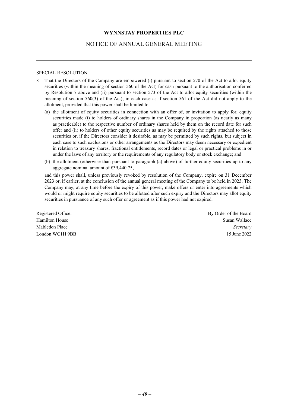## NOTICE OF ANNUAL GENERAL MEETING

#### SPECIAL RESOLUTION

- 8 That the Directors of the Company are empowered (i) pursuant to section 570 of the Act to allot equity securities (within the meaning of section 560 of the Act) for cash pursuant to the authorisation conferred by Resolution 7 above and (ii) pursuant to section 573 of the Act to allot equity securities (within the meaning of section 560(3) of the Act), in each case as if section 561 of the Act did not apply to the allotment, provided that this power shall be limited to:
	- (a) the allotment of equity securities in connection with an offer of, or invitation to apply for, equity securities made (i) to holders of ordinary shares in the Company in proportion (as nearly as many as practicable) to the respective number of ordinary shares held by them on the record date for such offer and (ii) to holders of other equity securities as may be required by the rights attached to those securities or, if the Directors consider it desirable, as may be permitted by such rights, but subject in each case to such exclusions or other arrangements as the Directors may deem necessary or expedient in relation to treasury shares, fractional entitlements, record dates or legal or practical problems in or under the laws of any territory or the requirements of any regulatory body or stock exchange; and
	- (b) the allotment (otherwise than pursuant to paragraph (a) above) of further equity securities up to any aggregate nominal amount of £39,440.75,

and this power shall, unless previously revoked by resolution of the Company, expire on 31 December 2023 or, if earlier, at the conclusion of the annual general meeting of the Company to be held in 2023. The Company may, at any time before the expiry of this power, make offers or enter into agreements which would or might require equity securities to be allotted after such expiry and the Directors may allot equity securities in pursuance of any such offer or agreement as if this power had not expired.

Registered Office: By Order of the Board

Hamilton House Susan Wallace Susan Wallace Susan Wallace Susan Wallace Susan Wallace Mabledon Place *Secretary* London WC1H 9BB 15 June 2022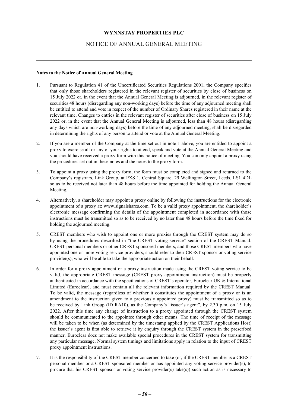## NOTICE OF ANNUAL GENERAL MEETING

#### **Notes to the Notice of Annual General Meeting**

- 1. Pursuant to Regulation 41 of the Uncertificated Securities Regulations 2001, the Company specifies that only those shareholders registered in the relevant register of securities by close of business on 15 July 2022 or, in the event that the Annual General Meeting is adjourned, in the relevant register of securities 48 hours (disregarding any non-working days) before the time of any adjourned meeting shall be entitled to attend and vote in respect of the number of Ordinary Shares registered in their name at the relevant time. Changes to entries in the relevant register of securities after close of business on 15 July 2022 or, in the event that the Annual General Meeting is adjourned, less than 48 hours (disregarding any days which are non-working days) before the time of any adjourned meeting, shall be disregarded in determining the rights of any person to attend or vote at the Annual General Meeting.
- 2. If you are a member of the Company at the time set out in note 1 above, you are entitled to appoint a proxy to exercise all or any of your rights to attend, speak and vote at the Annual General Meeting and you should have received a proxy form with this notice of meeting. You can only appoint a proxy using the procedures set out in these notes and the notes to the proxy form.
- 3. To appoint a proxy using the proxy form, the form must be completed and signed and returned to the Company's registrars, Link Group, at PXS 1, Central Square, 29 Wellington Street, Leeds, LS1 4DL so as to be received not later than 48 hours before the time appointed for holding the Annual General Meeting.
- 4. Alternatively, a shareholder may appoint a proxy online by following the instructions for the electronic appointment of a proxy at: www.signalshares.com. To be a valid proxy appointment, the shareholder's electronic message confirming the details of the appointment completed in accordance with those instructions must be transmitted so as to be received by no later than 48 hours before the time fixed for holding the adjourned meeting.
- 5. CREST members who wish to appoint one or more proxies through the CREST system may do so by using the procedures described in "the CREST voting service" section of the CREST Manual. CREST personal members or other CREST sponsored members, and those CREST members who have appointed one or more voting service providers, should refer to their CREST sponsor or voting service provider(s), who will be able to take the appropriate action on their behalf.
- 6. In order for a proxy appointment or a proxy instruction made using the CREST voting service to be valid, the appropriate CREST message (CREST proxy appointment instruction) must be properly authenticated in accordance with the specifications of CREST's operator, Euroclear UK & International Limited (Euroclear), and must contain all the relevant information required by the CREST Manual. To be valid, the message (regardless of whether it constitutes the appointment of a proxy or is an amendment to the instruction given to a previously appointed proxy) must be transmitted so as to be received by Link Group (ID RA10), as the Company's "issuer's agent", by 2.30 p.m. on 15 July 2022. After this time any change of instruction to a proxy appointed through the CREST system should be communicated to the appointee through other means. The time of receipt of the message will be taken to be when (as determined by the timestamp applied by the CREST Applications Host) the issuer's agent is first able to retrieve it by enquiry through the CREST system in the prescribed manner. Euroclear does not make available special procedures in the CREST system for transmitting any particular message. Normal system timings and limitations apply in relation to the input of CREST proxy appointment instructions.
- 7. It is the responsibility of the CREST member concerned to take (or, if the CREST member is a CREST personal member or a CREST sponsored member or has appointed any voting service provider(s), to procure that his CREST sponsor or voting service provider(s) take(s)) such action as is necessary to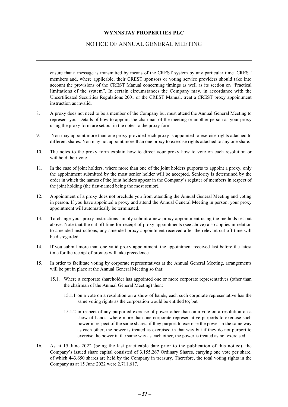## NOTICE OF ANNUAL GENERAL MEETING

ensure that a message is transmitted by means of the CREST system by any particular time. CREST members and, where applicable, their CREST sponsors or voting service providers should take into account the provisions of the CREST Manual concerning timings as well as its section on "Practical limitations of the system". In certain circumstances the Company may, in accordance with the Uncertificated Securities Regulations 2001 or the CREST Manual, treat a CREST proxy appointment instruction as invalid.

- 8. A proxy does not need to be a member of the Company but must attend the Annual General Meeting to represent you. Details of how to appoint the chairman of the meeting or another person as your proxy using the proxy form are set out in the notes to the proxy form.
- 9. You may appoint more than one proxy provided each proxy is appointed to exercise rights attached to different shares. You may not appoint more than one proxy to exercise rights attached to any one share.
- 10. The notes to the proxy form explain how to direct your proxy how to vote on each resolution or withhold their vote.
- 11. In the case of joint holders, where more than one of the joint holders purports to appoint a proxy, only the appointment submitted by the most senior holder will be accepted. Seniority is determined by the order in which the names of the joint holders appear in the Company's register of members in respect of the joint holding (the first-named being the most senior).
- 12. Appointment of a proxy does not preclude you from attending the Annual General Meeting and voting in person. If you have appointed a proxy and attend the Annual General Meeting in person, your proxy appointment will automatically be terminated.
- 13. To change your proxy instructions simply submit a new proxy appointment using the methods set out above. Note that the cut off time for receipt of proxy appointments (see above) also applies in relation to amended instructions; any amended proxy appointment received after the relevant cut-off time will be disregarded.
- 14. If you submit more than one valid proxy appointment, the appointment received last before the latest time for the receipt of proxies will take precedence.
- 15. In order to facilitate voting by corporate representatives at the Annual General Meeting, arrangements will be put in place at the Annual General Meeting so that:
	- 15.1. Where a corporate shareholder has appointed one or more corporate representatives (other than the chairman of the Annual General Meeting) then:
		- 15.1.1 on a vote on a resolution on a show of hands, each such corporate representative has the same voting rights as the corporation would be entitled to; but
		- 15.1.2 in respect of any purported exercise of power other than on a vote on a resolution on a show of hands, where more than one corporate representative purports to exercise such power in respect of the same shares, if they purport to exercise the power in the same way as each other, the power is treated as exercised in that way but if they do not purport to exercise the power in the same way as each other, the power is treated as not exercised.
- 16. As at 15 June 2022 (being the last practicable date prior to the publication of this notice), the Company's issued share capital consisted of 3,155,267 Ordinary Shares, carrying one vote per share, of which 443,650 shares are held by the Company in treasury. Therefore, the total voting rights in the Company as at 15 June 2022 were 2,711,617.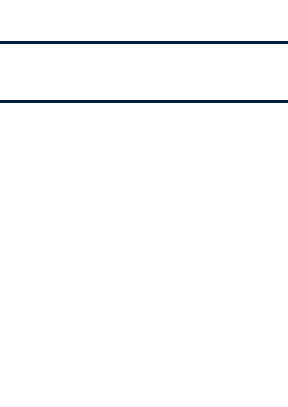<u> 1990 - John Barnett, fransk politiker (</u>